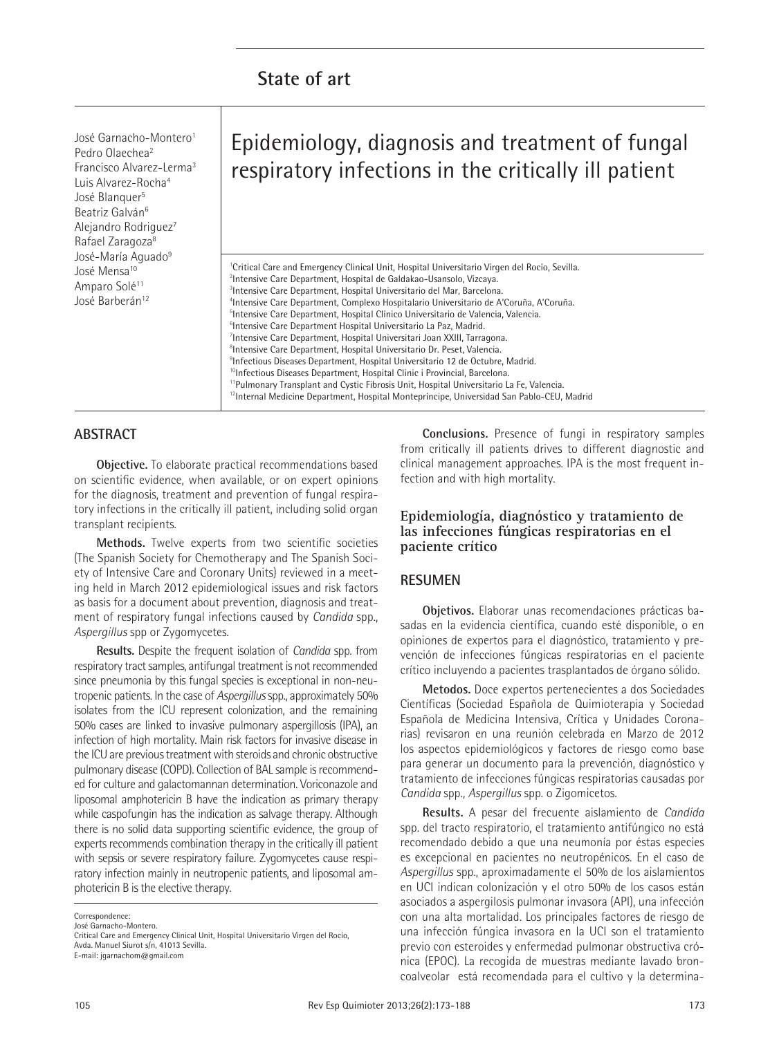José Garnacho-Montero1 Pedro Olaechea2 Francisco Alvarez-Lerma3 Luis Alvarez-Rocha4 José Blanquer<sup>5</sup> Beatriz Galván<sup>6</sup> Alejandro Rodriguez<sup>7</sup> Rafael Zaragoza8 José-María Aguado<sup>9</sup> José Mensa<sup>10</sup> Amparo Solé<sup>11</sup> José Barberán<sup>12</sup>

# Epidemiology, diagnosis and treatment of fungal respiratory infections in the critically ill patient

<sup>1</sup>Critical Care and Emergency Clinical Unit, Hospital Universitario Virgen del Rocío, Sevilla. 2 Intensive Care Department, Hospital de Galdakao-Usansolo, Vizcaya. 3 Intensive Care Department, Hospital Universitario del Mar, Barcelona. 4 Intensive Care Department, Complexo Hospitalario Universitario de A'Coruña, A'Coruña. <sup>5</sup>Intensive Care Department, Hospital Clínico Universitario de Valencia, Valencia. <sup>6</sup>Intensive Care Department Hospital Universitario La Paz, Madrid. 7 Intensive Care Department, Hospital Universitari Joan XXIII, Tarragona. <sup>8</sup>Intensive Care Department, Hospital Universitario Dr. Peset, Valencia. 9 Infectious Diseases Department, Hospital Universitario 12 de Octubre, Madrid. <sup>10</sup>Infectious Diseases Department, Hospital Clinic i Provincial, Barcelona. <sup>11</sup>Pulmonary Transplant and Cystic Fibrosis Unit, Hospital Universitario La Fe, Valencia. <sup>12</sup>Internal Medicine Department, Hospital Montepríncipe, Universidad San Pablo-CEU, Madrid

# **ABSTRACT**

**Objective.** To elaborate practical recommendations based on scientific evidence, when available, or on expert opinions for the diagnosis, treatment and prevention of fungal respiratory infections in the critically ill patient, including solid organ transplant recipients.

**Methods.** Twelve experts from two scientific societies (The Spanish Society for Chemotherapy and The Spanish Society of Intensive Care and Coronary Units) reviewed in a meeting held in March 2012 epidemiological issues and risk factors as basis for a document about prevention, diagnosis and treatment of respiratory fungal infections caused by *Candida* spp., *Aspergillus* spp or Zygomycetes.

**Results.** Despite the frequent isolation of *Candida* spp. from respiratory tract samples, antifungal treatment is not recommended since pneumonia by this fungal species is exceptional in non-neutropenic patients. In the case of *Aspergillus* spp., approximately 50% isolates from the ICU represent colonization, and the remaining 50% cases are linked to invasive pulmonary aspergillosis (IPA), an infection of high mortality. Main risk factors for invasive disease in the ICU are previous treatment with steroids and chronic obstructive pulmonary disease (COPD). Collection of BAL sample is recommended for culture and galactomannan determination. Voriconazole and liposomal amphotericin B have the indication as primary therapy while caspofungin has the indication as salvage therapy. Although there is no solid data supporting scientific evidence, the group of experts recommends combination therapy in the critically ill patient with sepsis or severe respiratory failure. Zygomycetes cause respiratory infection mainly in neutropenic patients, and liposomal amphotericin B is the elective therapy.

**Correspondence** 

José Garnacho-Montero.

Critical Care and Emergency Clinical Unit, Hospital Universitario Virgen del Rocío, Avda. Manuel Siurot s/n, 41013 Sevilla. E-mail: jgarnachom@gmail.com

**Conclusions.** Presence of fungi in respiratory samples from critically ill patients drives to different diagnostic and clinical management approaches. IPA is the most frequent infection and with high mortality.

## **Epidemiología, diagnóstico y tratamiento de las infecciones fúngicas respiratorias en el paciente crítico**

## **RESUMEN**

**Objetivos.** Elaborar unas recomendaciones prácticas basadas en la evidencia científica, cuando esté disponible, o en opiniones de expertos para el diagnóstico, tratamiento y prevención de infecciones fúngicas respiratorias en el paciente crítico incluyendo a pacientes trasplantados de órgano sólido.

**Metodos.** Doce expertos pertenecientes a dos Sociedades Científicas (Sociedad Española de Quimioterapia y Sociedad Española de Medicina Intensiva, Crítica y Unidades Coronarias) revisaron en una reunión celebrada en Marzo de 2012 los aspectos epidemiológicos y factores de riesgo como base para generar un documento para la prevención, diagnóstico y tratamiento de infecciones fúngicas respiratorias causadas por *Candida* spp., *Aspergillus* spp. o Zigomicetos.

**Results.** A pesar del frecuente aislamiento de *Candida* spp. del tracto respiratorio, el tratamiento antifúngico no está recomendado debido a que una neumonía por éstas especies es excepcional en pacientes no neutropénicos. En el caso de *Aspergillus* spp., aproximadamente el 50% de los aislamientos en UCI indican colonización y el otro 50% de los casos están asociados a aspergilosis pulmonar invasora (API), una infección con una alta mortalidad. Los principales factores de riesgo de una infección fúngica invasora en la UCI son el tratamiento previo con esteroides y enfermedad pulmonar obstructiva crónica (EPOC). La recogida de muestras mediante lavado broncoalveolar está recomendada para el cultivo y la determina-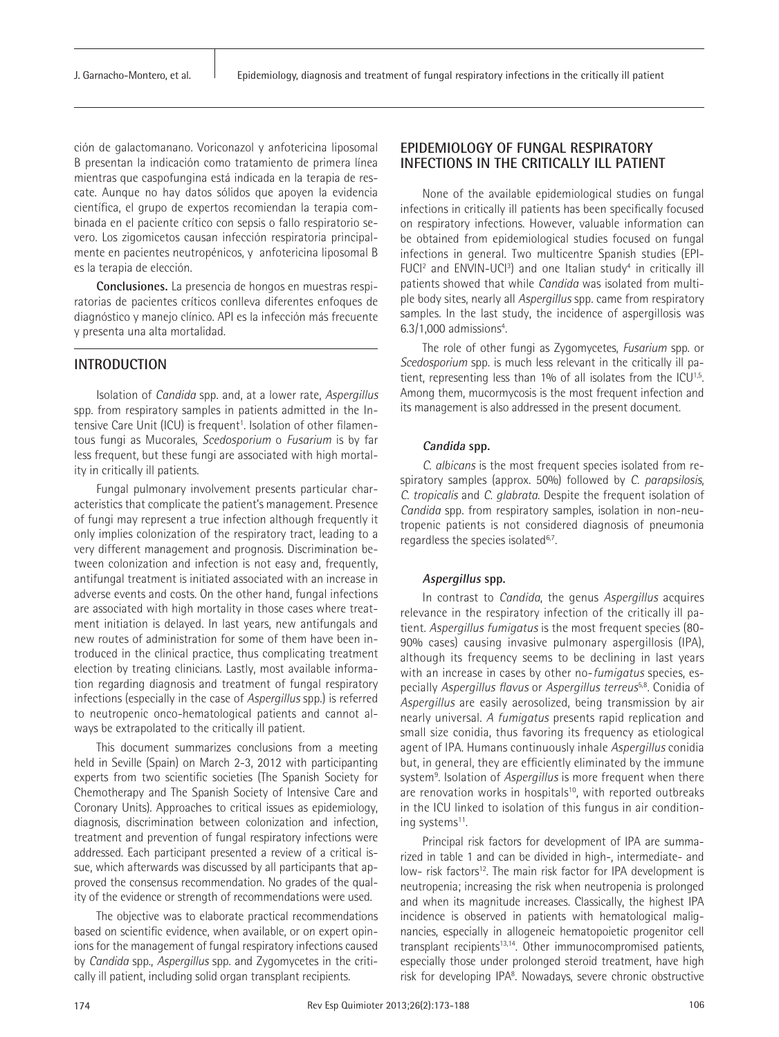ción de galactomanano. Voriconazol y anfotericina liposomal B presentan la indicación como tratamiento de primera línea mientras que caspofungina está indicada en la terapia de rescate. Aunque no hay datos sólidos que apoyen la evidencia científica, el grupo de expertos recomiendan la terapia combinada en el paciente crítico con sepsis o fallo respiratorio severo. Los zigomicetos causan infección respiratoria principalmente en pacientes neutropénicos, y anfotericina liposomal B es la terapia de elección.

**Conclusiones.** La presencia de hongos en muestras respiratorias de pacientes críticos conlleva diferentes enfoques de diagnóstico y manejo clínico. API es la infección más frecuente y presenta una alta mortalidad.

## **INTRODUCTION**

Isolation of *Candida* spp. and, at a lower rate, *Aspergillus*  spp. from respiratory samples in patients admitted in the Intensive Care Unit (ICU) is frequent<sup>1</sup>. Isolation of other filamentous fungi as Mucorales, *Scedosporium* o *Fusarium* is by far less frequent, but these fungi are associated with high mortality in critically ill patients.

Fungal pulmonary involvement presents particular characteristics that complicate the patient's management. Presence of fungi may represent a true infection although frequently it only implies colonization of the respiratory tract, leading to a very different management and prognosis. Discrimination between colonization and infection is not easy and, frequently, antifungal treatment is initiated associated with an increase in adverse events and costs. On the other hand, fungal infections are associated with high mortality in those cases where treatment initiation is delayed. In last years, new antifungals and new routes of administration for some of them have been introduced in the clinical practice, thus complicating treatment election by treating clinicians. Lastly, most available information regarding diagnosis and treatment of fungal respiratory infections (especially in the case of *Aspergillus* spp.) is referred to neutropenic onco-hematological patients and cannot always be extrapolated to the critically ill patient.

This document summarizes conclusions from a meeting held in Seville (Spain) on March 2-3, 2012 with participanting experts from two scientific societies (The Spanish Society for Chemotherapy and The Spanish Society of Intensive Care and Coronary Units). Approaches to critical issues as epidemiology, diagnosis, discrimination between colonization and infection, treatment and prevention of fungal respiratory infections were addressed. Each participant presented a review of a critical issue, which afterwards was discussed by all participants that approved the consensus recommendation. No grades of the quality of the evidence or strength of recommendations were used.

The objective was to elaborate practical recommendations based on scientific evidence, when available, or on expert opinions for the management of fungal respiratory infections caused by *Candida* spp., *Aspergillus* spp. and Zygomycetes in the critically ill patient, including solid organ transplant recipients.

## **EPIDEMIOLOGY OF FUNGAL RESPIRATORY INFECTIONS IN THE CRITICALLY ILL PATIENT**

None of the available epidemiological studies on fungal infections in critically ill patients has been specifically focused on respiratory infections. However, valuable information can be obtained from epidemiological studies focused on fungal infections in general. Two multicentre Spanish studies (EPI-FUCI<sup>2</sup> and ENVIN-UCI<sup>3</sup>) and one Italian study<sup>4</sup> in critically ill patients showed that while *Candida* was isolated from multiple body sites, nearly all *Aspergillus* spp. came from respiratory samples. In the last study, the incidence of aspergillosis was 6.3/1,000 admissions<sup>4</sup>.

The role of other fungi as Zygomycetes, *Fusarium* spp. or *Scedosporium* spp. is much less relevant in the critically ill patient, representing less than 1% of all isolates from the ICU<sup>1,5</sup>. Among them, mucormycosis is the most frequent infection and its management is also addressed in the present document.

#### **Candida spp.**

*C. albicans* is the most frequent species isolated from respiratory samples (approx. 50%) followed by *C. parapsilosis*, *C. tropicalis* and *C. glabrata*. Despite the frequent isolation of *Candida* spp. from respiratory samples, isolation in non-neutropenic patients is not considered diagnosis of pneumonia regardless the species isolated<sup>6,7</sup>.

#### **Aspergillus spp.**

In contrast to *Candida*, the genus *Aspergillus* acquires relevance in the respiratory infection of the critically ill patient. *Aspergillus fumigatus* is the most frequent species (80- 90% cases) causing invasive pulmonary aspergillosis (IPA), although its frequency seems to be declining in last years with an increase in cases by other no-*fumigatus* species, especially *Aspergillus flavus* or *Aspergillus terreus*5,8. Conidia of *Aspergillus* are easily aerosolized, being transmission by air nearly universal. *A fumigatus* presents rapid replication and small size conidia, thus favoring its frequency as etiological agent of IPA. Humans continuously inhale *Aspergillus* conidia but, in general, they are efficiently eliminated by the immune system<sup>9</sup>. Isolation of Aspergillus is more frequent when there are renovation works in hospitals<sup>10</sup>, with reported outbreaks in the ICU linked to isolation of this fungus in air conditioning systems<sup>11</sup>.

Principal risk factors for development of IPA are summarized in table 1 and can be divided in high-, intermediate- and low- risk factors<sup>12</sup>. The main risk factor for IPA development is neutropenia; increasing the risk when neutropenia is prolonged and when its magnitude increases. Classically, the highest IPA incidence is observed in patients with hematological malignancies, especially in allogeneic hematopoietic progenitor cell transplant recipients<sup>13,14</sup>. Other immunocompromised patients, especially those under prolonged steroid treatment, have high risk for developing IPA<sup>8</sup>. Nowadays, severe chronic obstructive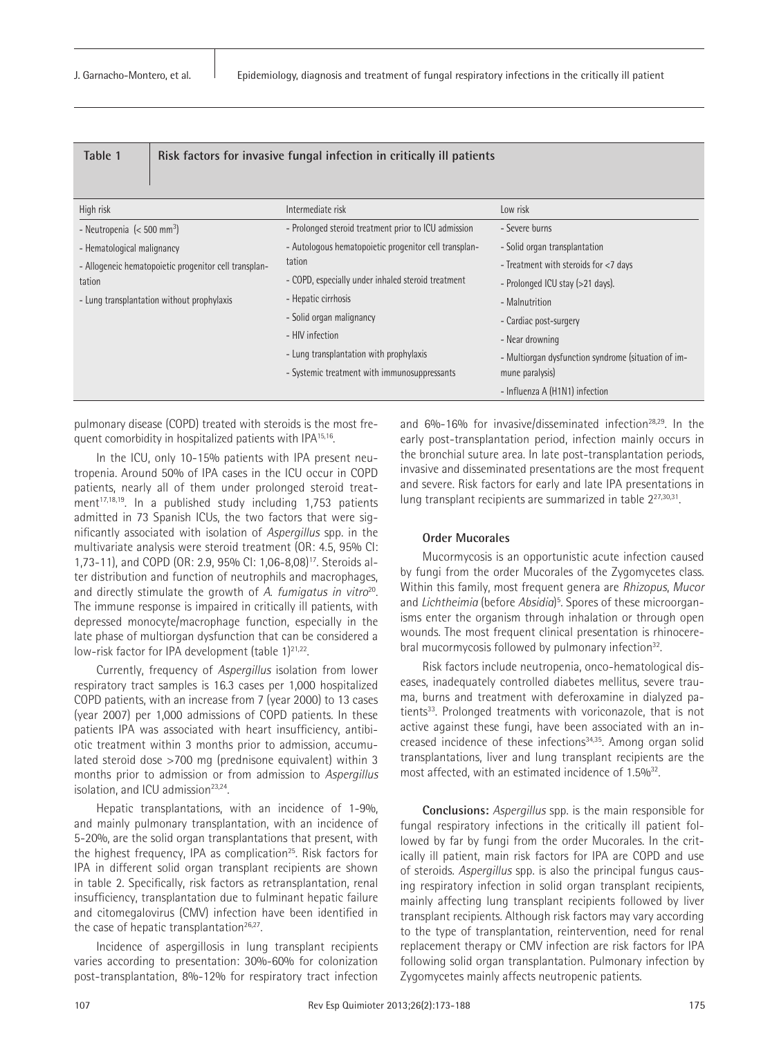| Table 1                                               | Risk factors for invasive fungal infection in critically ill patients |                                                     |  |
|-------------------------------------------------------|-----------------------------------------------------------------------|-----------------------------------------------------|--|
| High risk                                             | Intermediate risk                                                     | Low risk                                            |  |
| - Neutropenia $\approx 500$ mm <sup>3</sup> )         | - Prolonged steroid treatment prior to ICU admission                  | - Severe burns                                      |  |
| - Hematological malignancy                            | - Autologous hematopoietic progenitor cell transplan-                 | - Solid organ transplantation                       |  |
| - Allogeneic hematopoietic progenitor cell transplan- | tation                                                                | - Treatment with steroids for <7 days               |  |
| tation                                                | - COPD, especially under inhaled steroid treatment                    | - Prolonged ICU stay (>21 days).                    |  |
| - Lung transplantation without prophylaxis            | - Hepatic cirrhosis                                                   | - Malnutrition                                      |  |
|                                                       | - Solid organ malignancy                                              | - Cardiac post-surgery                              |  |
|                                                       | - HIV infection                                                       | - Near drowning                                     |  |
|                                                       | - Lung transplantation with prophylaxis                               | - Multiorgan dysfunction syndrome (situation of im- |  |
|                                                       | - Systemic treatment with immunosuppressants                          | mune paralysis)                                     |  |
|                                                       |                                                                       | - Influenza A (H1N1) infection                      |  |

pulmonary disease (COPD) treated with steroids is the most frequent comorbidity in hospitalized patients with IPA15,16.

In the ICU, only 10-15% patients with IPA present neutropenia. Around 50% of IPA cases in the ICU occur in COPD patients, nearly all of them under prolonged steroid treatment $17,18,19$ . In a published study including 1,753 patients admitted in 73 Spanish ICUs, the two factors that were significantly associated with isolation of *Aspergillus* spp. in the multivariate analysis were steroid treatment (OR: 4.5, 95% CI: 1,73-11), and COPD (OR: 2.9, 95% CI: 1,06-8,08)17. Steroids alter distribution and function of neutrophils and macrophages, and directly stimulate the growth of *A. fumigatus in vitro*20. The immune response is impaired in critically ill patients, with depressed monocyte/macrophage function, especially in the late phase of multiorgan dysfunction that can be considered a low-risk factor for IPA development (table 1)<sup>21,22</sup>.

Currently, frequency of *Aspergillus* isolation from lower respiratory tract samples is 16.3 cases per 1,000 hospitalized COPD patients, with an increase from 7 (year 2000) to 13 cases (year 2007) per 1,000 admissions of COPD patients. In these patients IPA was associated with heart insufficiency, antibiotic treatment within 3 months prior to admission, accumulated steroid dose >700 mg (prednisone equivalent) within 3 months prior to admission or from admission to *Aspergillus*  isolation, and ICU admission<sup>23,24</sup>.

Hepatic transplantations, with an incidence of 1-9%, and mainly pulmonary transplantation, with an incidence of 5-20%, are the solid organ transplantations that present, with the highest frequency, IPA as complication<sup>25</sup>. Risk factors for IPA in different solid organ transplant recipients are shown in table 2. Specifically, risk factors as retransplantation, renal insufficiency, transplantation due to fulminant hepatic failure and citomegalovirus (CMV) infection have been identified in the case of hepatic transplantation $26,27$ .

Incidence of aspergillosis in lung transplant recipients varies according to presentation: 30%-60% for colonization post-transplantation, 8%-12% for respiratory tract infection

and 6%-16% for invasive/disseminated infection28,29. In the early post-transplantation period, infection mainly occurs in the bronchial suture area. In late post-transplantation periods, invasive and disseminated presentations are the most frequent and severe. Risk factors for early and late IPA presentations in lung transplant recipients are summarized in table 227,30,31.

## **Order Mucorales**

Mucormycosis is an opportunistic acute infection caused by fungi from the order Mucorales of the Zygomycetes class. Within this family, most frequent genera are *Rhizopus*, *Mucor* and *Lichtheimia* (before *Absidia*) 5 . Spores of these microorganisms enter the organism through inhalation or through open wounds. The most frequent clinical presentation is rhinocerebral mucormycosis followed by pulmonary infection<sup>32</sup>.

Risk factors include neutropenia, onco-hematological diseases, inadequately controlled diabetes mellitus, severe trauma, burns and treatment with deferoxamine in dialyzed patients<sup>33</sup>. Prolonged treatments with voriconazole, that is not active against these fungi, have been associated with an increased incidence of these infections<sup>34,35</sup>. Among organ solid transplantations, liver and lung transplant recipients are the most affected, with an estimated incidence of 1.5%<sup>32</sup>.

**Conclusions:** *Aspergillus* spp. is the main responsible for fungal respiratory infections in the critically ill patient followed by far by fungi from the order Mucorales. In the critically ill patient, main risk factors for IPA are COPD and use of steroids. *Aspergillus* spp. is also the principal fungus causing respiratory infection in solid organ transplant recipients, mainly affecting lung transplant recipients followed by liver transplant recipients. Although risk factors may vary according to the type of transplantation, reintervention, need for renal replacement therapy or CMV infection are risk factors for IPA following solid organ transplantation. Pulmonary infection by Zygomycetes mainly affects neutropenic patients.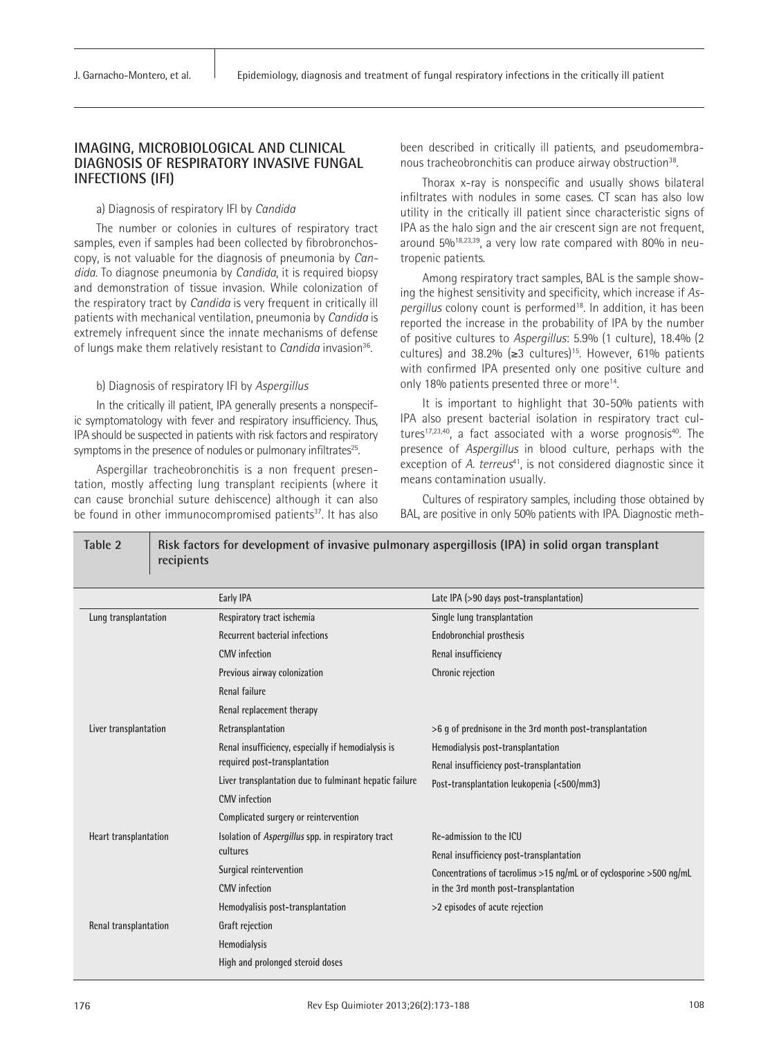## **IMAGING, MICROBIOLOGICAL AND CLINICAL DIAGNOSIS OF RESPIRATORY INVASIVE FUNGAL INFECTIONS (IFI)**

#### a) Diagnosis of respiratory IFI by *Candida*

The number or colonies in cultures of respiratory tract samples, even if samples had been collected by fibrobronchoscopy, is not valuable for the diagnosis of pneumonia by *Candida*. To diagnose pneumonia by *Candida*, it is required biopsy and demonstration of tissue invasion. While colonization of the respiratory tract by *Candida* is very frequent in critically ill patients with mechanical ventilation, pneumonia by *Candida* is extremely infrequent since the innate mechanisms of defense of lungs make them relatively resistant to *Candida* invasion<sup>36</sup>.

#### b) Diagnosis of respiratory IFI by *Aspergillus*

In the critically ill patient, IPA generally presents a nonspecific symptomatology with fever and respiratory insufficiency. Thus, IPA should be suspected in patients with risk factors and respiratory symptoms in the presence of nodules or pulmonary infiltrates<sup>25</sup>.

Aspergillar tracheobronchitis is a non frequent presentation, mostly affecting lung transplant recipients (where it can cause bronchial suture dehiscence) although it can also be found in other immunocompromised patients<sup>37</sup>. It has also been described in critically ill patients, and pseudomembranous tracheobronchitis can produce airway obstruction<sup>38</sup>.

Thorax x-ray is nonspecific and usually shows bilateral infiltrates with nodules in some cases. CT scan has also low utility in the critically ill patient since characteristic signs of IPA as the halo sign and the air crescent sign are not frequent, around 5%18,23,39, a very low rate compared with 80% in neutropenic patients.

Among respiratory tract samples, BAL is the sample showing the highest sensitivity and specificity, which increase if *Aspergillus* colony count is performed<sup>18</sup>. In addition, it has been reported the increase in the probability of IPA by the number of positive cultures to *Aspergillus*: 5.9% (1 culture), 18.4% (2 cultures) and 38.2% ( $\geq$ 3 cultures)<sup>15</sup>. However, 61% patients with confirmed IPA presented only one positive culture and only 18% patients presented three or more<sup>14</sup>.

It is important to highlight that 30-50% patients with IPA also present bacterial isolation in respiratory tract cultures $17,23,40$ , a fact associated with a worse prognosis $40$ . The presence of *Aspergillus* in blood culture, perhaps with the exception of *A. terreus*<sup>41</sup>, is not considered diagnostic since it means contamination usually.

Cultures of respiratory samples, including those obtained by BAL, are positive in only 50% patients with IPA. Diagnostic meth-

| recipients            |                                                        |                                                                      |  |
|-----------------------|--------------------------------------------------------|----------------------------------------------------------------------|--|
|                       | Early IPA                                              | Late IPA (>90 days post-transplantation)                             |  |
| Lung transplantation  | Respiratory tract ischemia                             | Single lung transplantation                                          |  |
|                       | <b>Recurrent bacterial infections</b>                  | Endobronchial prosthesis                                             |  |
|                       | <b>CMV</b> infection                                   | Renal insufficiency                                                  |  |
|                       | Previous airway colonization                           | Chronic rejection                                                    |  |
|                       | Renal failure                                          |                                                                      |  |
|                       | Renal replacement therapy                              |                                                                      |  |
| Liver transplantation | Retransplantation                                      | $>6$ q of prednisone in the 3rd month post-transplantation           |  |
|                       | Renal insufficiency, especially if hemodialysis is     | Hemodialysis post-transplantation                                    |  |
|                       | required post-transplantation                          | Renal insufficiency post-transplantation                             |  |
|                       | Liver transplantation due to fulminant hepatic failure | Post-transplantation leukopenia (<500/mm3)                           |  |
|                       | <b>CMV</b> infection                                   |                                                                      |  |
|                       | Complicated surgery or reintervention                  |                                                                      |  |
| Heart transplantation | Isolation of Aspergillus spp. in respiratory tract     | Re-admission to the ICU                                              |  |
|                       | cultures                                               | Renal insufficiency post-transplantation                             |  |
|                       | Surgical reintervention                                | Concentrations of tacrolimus >15 ng/mL or of cyclosporine >500 ng/mL |  |
|                       | <b>CMV</b> infection                                   | in the 3rd month post-transplantation                                |  |
|                       | Hemodyalisis post-transplantation                      | >2 episodes of acute rejection                                       |  |
| Renal transplantation | Graft rejection                                        |                                                                      |  |
|                       | Hemodialysis                                           |                                                                      |  |
|                       | High and prolonged steroid doses                       |                                                                      |  |

**Table 2 Risk factors for development of invasive pulmonary aspergillosis (IPA) in solid organ transplant** 

#### 176 **Rev Esp Quimioter 2013;26(2):173-188** 108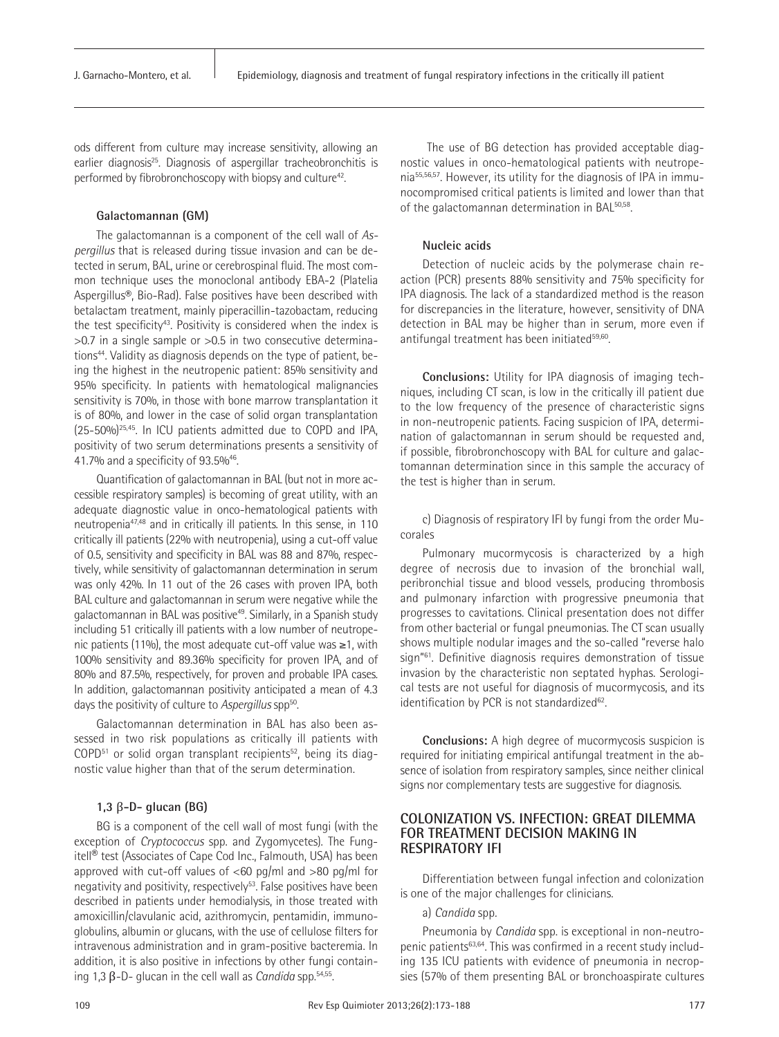ods different from culture may increase sensitivity, allowing an earlier diagnosis<sup>25</sup>. Diagnosis of aspergillar tracheobronchitis is performed by fibrobronchoscopy with biopsy and culture<sup>42</sup>.

#### **Galactomannan (GM)**

The galactomannan is a component of the cell wall of *Aspergillus* that is released during tissue invasion and can be detected in serum, BAL, urine or cerebrospinal fluid. The most common technique uses the monoclonal antibody EBA-2 (Platelia Aspergillus®, Bio-Rad). False positives have been described with betalactam treatment, mainly piperacillin-tazobactam, reducing the test specificity<sup>43</sup>. Positivity is considered when the index is  $>0.7$  in a single sample or  $>0.5$  in two consecutive determinations<sup>44</sup>. Validity as diagnosis depends on the type of patient, being the highest in the neutropenic patient: 85% sensitivity and 95% specificity. In patients with hematological malignancies sensitivity is 70%, in those with bone marrow transplantation it is of 80%, and lower in the case of solid organ transplantation (25-50%)25,45. In ICU patients admitted due to COPD and IPA, positivity of two serum determinations presents a sensitivity of 41.7% and a specificity of 93.5%46.

Quantification of galactomannan in BAL (but not in more accessible respiratory samples) is becoming of great utility, with an adequate diagnostic value in onco-hematological patients with neutropenia47,48 and in critically ill patients. In this sense, in 110 critically ill patients (22% with neutropenia), using a cut-off value of 0.5, sensitivity and specificity in BAL was 88 and 87%, respectively, while sensitivity of galactomannan determination in serum was only 42%. In 11 out of the 26 cases with proven IPA, both BAL culture and galactomannan in serum were negative while the galactomannan in BAL was positive<sup>49</sup>. Similarly, in a Spanish study including 51 critically ill patients with a low number of neutropenic patients (11%), the most adequate cut-off value was ≥1, with 100% sensitivity and 89.36% specificity for proven IPA, and of 80% and 87.5%, respectively, for proven and probable IPA cases. In addition, galactomannan positivity anticipated a mean of 4.3 days the positivity of culture to *Aspergillus* spp<sup>50</sup>.

Galactomannan determination in BAL has also been assessed in two risk populations as critically ill patients with COPD<sup>51</sup> or solid organ transplant recipients<sup>52</sup>, being its diagnostic value higher than that of the serum determination.

#### **1,3** β**-D- glucan (BG)**

BG is a component of the cell wall of most fungi (with the exception of *Cryptococcus* spp. and Zygomycetes). The Fungitell® test (Associates of Cape Cod Inc., Falmouth, USA) has been approved with cut-off values of  $<60$  pg/ml and  $>80$  pg/ml for negativity and positivity, respectively<sup>53</sup>. False positives have been described in patients under hemodialysis, in those treated with amoxicillin/clavulanic acid, azithromycin, pentamidin, immunoglobulins, albumin or glucans, with the use of cellulose filters for intravenous administration and in gram-positive bacteremia. In addition, it is also positive in infections by other fungi containing 1,3 β-D- glucan in the cell wall as *Candida* spp.54,55.

 The use of BG detection has provided acceptable diagnostic values in onco-hematological patients with neutropenia55,56,57. However, its utility for the diagnosis of IPA in immunocompromised critical patients is limited and lower than that of the galactomannan determination in BAL50,58.

#### **Nucleic acids**

Detection of nucleic acids by the polymerase chain reaction (PCR) presents 88% sensitivity and 75% specificity for IPA diagnosis. The lack of a standardized method is the reason for discrepancies in the literature, however, sensitivity of DNA detection in BAL may be higher than in serum, more even if antifungal treatment has been initiated<sup>59,60</sup>.

**Conclusions:** Utility for IPA diagnosis of imaging techniques, including CT scan, is low in the critically ill patient due to the low frequency of the presence of characteristic signs in non-neutropenic patients. Facing suspicion of IPA, determination of galactomannan in serum should be requested and, if possible, fibrobronchoscopy with BAL for culture and galactomannan determination since in this sample the accuracy of the test is higher than in serum.

c) Diagnosis of respiratory IFI by fungi from the order Mucorales

Pulmonary mucormycosis is characterized by a high degree of necrosis due to invasion of the bronchial wall, peribronchial tissue and blood vessels, producing thrombosis and pulmonary infarction with progressive pneumonia that progresses to cavitations. Clinical presentation does not differ from other bacterial or fungal pneumonias. The CT scan usually shows multiple nodular images and the so-called "reverse halo sign"61. Definitive diagnosis requires demonstration of tissue invasion by the characteristic non septated hyphas. Serological tests are not useful for diagnosis of mucormycosis, and its identification by PCR is not standardized<sup>62</sup>.

**Conclusions:** A high degree of mucormycosis suspicion is required for initiating empirical antifungal treatment in the absence of isolation from respiratory samples, since neither clinical signs nor complementary tests are suggestive for diagnosis.

## **COLONIZATION VS. INFECTION: GREAT DILEMMA FOR TREATMENT DECISION MAKING IN RESPIRATORY IFI**

Differentiation between fungal infection and colonization is one of the major challenges for clinicians.

#### a) *Candida* spp*.*

Pneumonia by *Candida* spp. is exceptional in non-neutropenic patients63,64. This was confirmed in a recent study including 135 ICU patients with evidence of pneumonia in necropsies (57% of them presenting BAL or bronchoaspirate cultures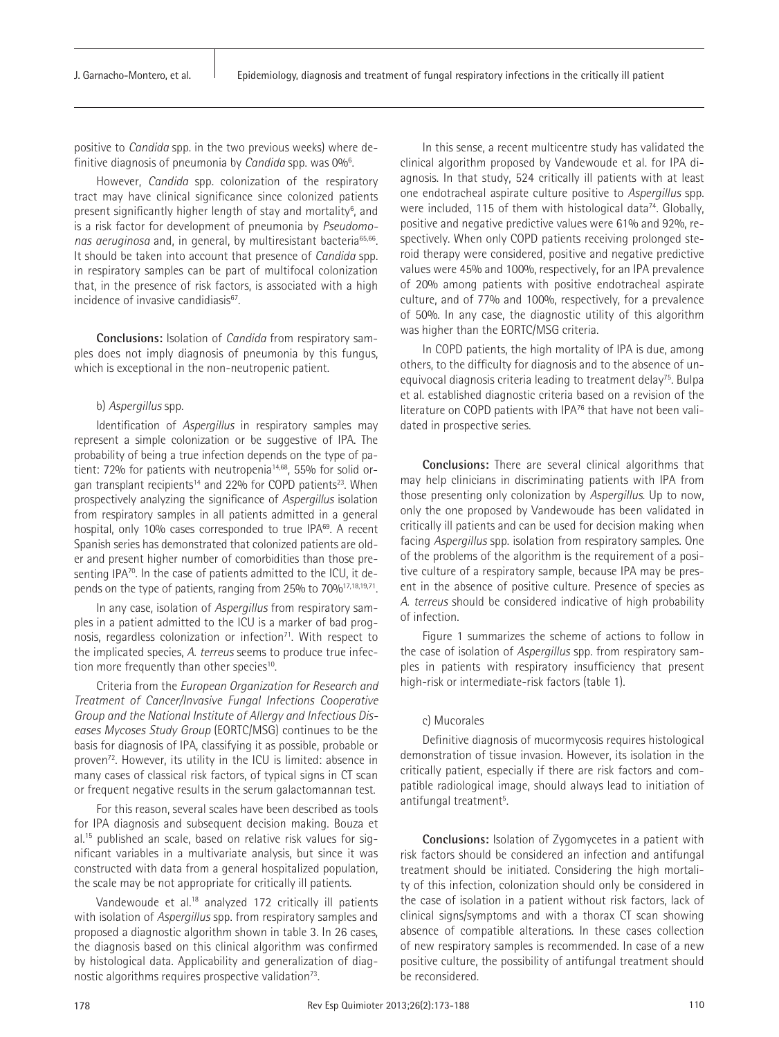positive to *Candida* spp. in the two previous weeks) where definitive diagnosis of pneumonia by *Candida* spp. was 0%6 .

However, *Candida* spp. colonization of the respiratory tract may have clinical significance since colonized patients present significantly higher length of stay and mortality<sup>6</sup>, and is a risk factor for development of pneumonia by *Pseudomonas aeruginosa* and, in general, by multiresistant bacteria65,66. It should be taken into account that presence of *Candida* spp. in respiratory samples can be part of multifocal colonization that, in the presence of risk factors, is associated with a high incidence of invasive candidiasis<sup>67</sup>.

**Conclusions:** Isolation of *Candida* from respiratory samples does not imply diagnosis of pneumonia by this fungus, which is exceptional in the non-neutropenic patient.

#### b) *Aspergillus* spp.

Identification of *Aspergillus* in respiratory samples may represent a simple colonization or be suggestive of IPA. The probability of being a true infection depends on the type of patient: 72% for patients with neutropenia<sup>14,68</sup>, 55% for solid organ transplant recipients<sup>14</sup> and 22% for COPD patients<sup>23</sup>. When prospectively analyzing the significance of *Aspergillus* isolation from respiratory samples in all patients admitted in a general hospital, only 10% cases corresponded to true IPA<sup>69</sup>. A recent Spanish series has demonstrated that colonized patients are older and present higher number of comorbidities than those presenting IPA<sup>70</sup>. In the case of patients admitted to the ICU, it depends on the type of patients, ranging from 25% to 70%<sup>17,18,19,71</sup>.

In any case, isolation of *Aspergillus* from respiratory samples in a patient admitted to the ICU is a marker of bad prognosis, regardless colonization or infection $71$ . With respect to the implicated species, *A. terreus* seems to produce true infection more frequently than other species<sup>10</sup>.

Criteria from the *European Organization for Research and Treatment of Cancer/Invasive Fungal Infections Cooperative Group and the National Institute of Allergy and Infectious Diseases Mycoses Study Group* (EORTC/MSG) continues to be the basis for diagnosis of IPA, classifying it as possible, probable or proven72. However, its utility in the ICU is limited: absence in many cases of classical risk factors, of typical signs in CT scan or frequent negative results in the serum galactomannan test.

For this reason, several scales have been described as tools for IPA diagnosis and subsequent decision making. Bouza et al.15 published an scale, based on relative risk values for significant variables in a multivariate analysis, but since it was constructed with data from a general hospitalized population, the scale may be not appropriate for critically ill patients.

Vandewoude et al*.* 18 analyzed 172 critically ill patients with isolation of *Aspergillus* spp. from respiratory samples and proposed a diagnostic algorithm shown in table 3. In 26 cases, the diagnosis based on this clinical algorithm was confirmed by histological data. Applicability and generalization of diagnostic algorithms requires prospective validation $73$ .

In this sense, a recent multicentre study has validated the clinical algorithm proposed by Vandewoude et al. for IPA diagnosis. In that study, 524 critically ill patients with at least one endotracheal aspirate culture positive to *Aspergillus* spp. were included, 115 of them with histological data<sup>74</sup>. Globally, positive and negative predictive values were 61% and 92%, respectively. When only COPD patients receiving prolonged steroid therapy were considered, positive and negative predictive values were 45% and 100%, respectively, for an IPA prevalence of 20% among patients with positive endotracheal aspirate culture, and of 77% and 100%, respectively, for a prevalence of 50%. In any case, the diagnostic utility of this algorithm was higher than the EORTC/MSG criteria.

In COPD patients, the high mortality of IPA is due, among others, to the difficulty for diagnosis and to the absence of unequivocal diagnosis criteria leading to treatment delay<sup>75</sup>. Bulpa et al. established diagnostic criteria based on a revision of the literature on COPD patients with IPA76 that have not been validated in prospective series.

**Conclusions:** There are several clinical algorithms that may help clinicians in discriminating patients with IPA from those presenting only colonization by *Aspergillus*. Up to now, only the one proposed by Vandewoude has been validated in critically ill patients and can be used for decision making when facing *Aspergillus* spp. isolation from respiratory samples. One of the problems of the algorithm is the requirement of a positive culture of a respiratory sample, because IPA may be present in the absence of positive culture. Presence of species as *A. terreus* should be considered indicative of high probability of infection.

Figure 1 summarizes the scheme of actions to follow in the case of isolation of *Aspergillus* spp. from respiratory samples in patients with respiratory insufficiency that present high-risk or intermediate-risk factors (table 1).

#### c) Mucorales

Definitive diagnosis of mucormycosis requires histological demonstration of tissue invasion. However, its isolation in the critically patient, especially if there are risk factors and compatible radiological image, should always lead to initiation of antifungal treatment<sup>5</sup>. .

**Conclusions:** Isolation of Zygomycetes in a patient with risk factors should be considered an infection and antifungal treatment should be initiated. Considering the high mortality of this infection, colonization should only be considered in the case of isolation in a patient without risk factors, lack of clinical signs/symptoms and with a thorax CT scan showing absence of compatible alterations. In these cases collection of new respiratory samples is recommended. In case of a new positive culture, the possibility of antifungal treatment should be reconsidered.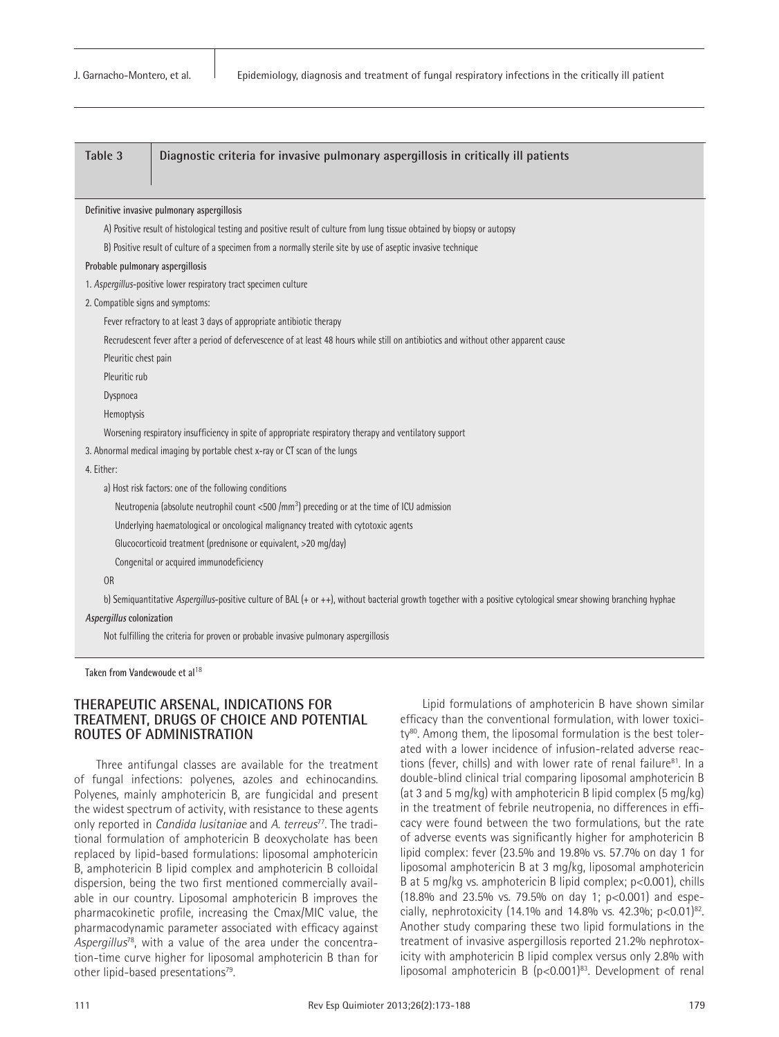| Table 3                                                                           | Diagnostic criteria for invasive pulmonary aspergillosis in critically ill patients                                                                             |  |  |  |
|-----------------------------------------------------------------------------------|-----------------------------------------------------------------------------------------------------------------------------------------------------------------|--|--|--|
|                                                                                   |                                                                                                                                                                 |  |  |  |
|                                                                                   |                                                                                                                                                                 |  |  |  |
|                                                                                   | Definitive invasive pulmonary aspergillosis                                                                                                                     |  |  |  |
|                                                                                   | A) Positive result of histological testing and positive result of culture from lung tissue obtained by biopsy or autopsy                                        |  |  |  |
|                                                                                   | B) Positive result of culture of a specimen from a normally sterile site by use of aseptic invasive technique                                                   |  |  |  |
| Probable pulmonary aspergillosis                                                  |                                                                                                                                                                 |  |  |  |
|                                                                                   | 1. Aspergillus-positive lower respiratory tract specimen culture                                                                                                |  |  |  |
| 2. Compatible signs and symptoms:                                                 |                                                                                                                                                                 |  |  |  |
|                                                                                   | Fever refractory to at least 3 days of appropriate antibiotic therapy                                                                                           |  |  |  |
|                                                                                   | Recrudescent fever after a period of defervescence of at least 48 hours while still on antibiotics and without other apparent cause                             |  |  |  |
|                                                                                   | Pleuritic chest pain                                                                                                                                            |  |  |  |
| Pleuritic rub                                                                     |                                                                                                                                                                 |  |  |  |
| Dyspnoea                                                                          |                                                                                                                                                                 |  |  |  |
| Hemoptysis                                                                        |                                                                                                                                                                 |  |  |  |
|                                                                                   | Worsening respiratory insufficiency in spite of appropriate respiratory therapy and ventilatory support                                                         |  |  |  |
|                                                                                   | 3. Abnormal medical imaging by portable chest x-ray or CT scan of the lungs                                                                                     |  |  |  |
| 4. Either:                                                                        |                                                                                                                                                                 |  |  |  |
|                                                                                   | a) Host risk factors: one of the following conditions                                                                                                           |  |  |  |
|                                                                                   | Neutropenia (absolute neutrophil count <500 $\text{/mm}^3$ ) preceding or at the time of ICU admission                                                          |  |  |  |
| Underlying haematological or oncological malignancy treated with cytotoxic agents |                                                                                                                                                                 |  |  |  |
| Glucocorticoid treatment (prednisone or equivalent, >20 mg/day)                   |                                                                                                                                                                 |  |  |  |
|                                                                                   | Congenital or acquired immunodeficiency                                                                                                                         |  |  |  |
| <b>OR</b>                                                                         |                                                                                                                                                                 |  |  |  |
|                                                                                   | b) Semiquantitative Aspergillus-positive culture of BAL (+ or ++), without bacterial growth together with a positive cytological smear showing branching hyphae |  |  |  |
| Aspergillus colonization                                                          |                                                                                                                                                                 |  |  |  |
|                                                                                   | Not fulfilling the criteria for proven or probable invasive pulmonary aspergillosis                                                                             |  |  |  |

**Taken from Vandewoude et al**<sup>18</sup>

## **THERAPEUTIC ARSENAL, INDICATIONS FOR TREATMENT, DRUGS OF CHOICE AND POTENTIAL ROUTES OF ADMINISTRATION**

Three antifungal classes are available for the treatment of fungal infections: polyenes, azoles and echinocandins. Polyenes, mainly amphotericin B, are fungicidal and present the widest spectrum of activity, with resistance to these agents only reported in *Candida lusitaniae* and *A. terreus*77. The traditional formulation of amphotericin B deoxycholate has been replaced by lipid-based formulations: liposomal amphotericin B, amphotericin B lipid complex and amphotericin B colloidal dispersion, being the two first mentioned commercially available in our country. Liposomal amphotericin B improves the pharmacokinetic profile, increasing the Cmax/MIC value, the pharmacodynamic parameter associated with efficacy against *Aspergillus*78, with a value of the area under the concentration-time curve higher for liposomal amphotericin B than for other lipid-based presentations<sup>79</sup>.

Lipid formulations of amphotericin B have shown similar efficacy than the conventional formulation, with lower toxicity<sup>80</sup>. Among them, the liposomal formulation is the best tolerated with a lower incidence of infusion-related adverse reactions (fever, chills) and with lower rate of renal failure<sup>81</sup>. In a double-blind clinical trial comparing liposomal amphotericin B (at 3 and 5 mg/kg) with amphotericin B lipid complex (5 mg/kg) in the treatment of febrile neutropenia, no differences in efficacy were found between the two formulations, but the rate of adverse events was significantly higher for amphotericin B lipid complex: fever (23.5% and 19.8% vs. 57.7% on day 1 for liposomal amphotericin B at 3 mg/kg, liposomal amphotericin B at 5 mg/kg vs. amphotericin B lipid complex; p<0.001), chills (18.8% and 23.5% vs. 79.5% on day 1; p<0.001) and especially, nephrotoxicity (14.1% and 14.8% vs. 42.3%;  $p < 0.01$ <sup>82</sup>. Another study comparing these two lipid formulations in the treatment of invasive aspergillosis reported 21.2% nephrotoxicity with amphotericin B lipid complex versus only 2.8% with liposomal amphotericin B  $(p<0.001)^{83}$ . Development of renal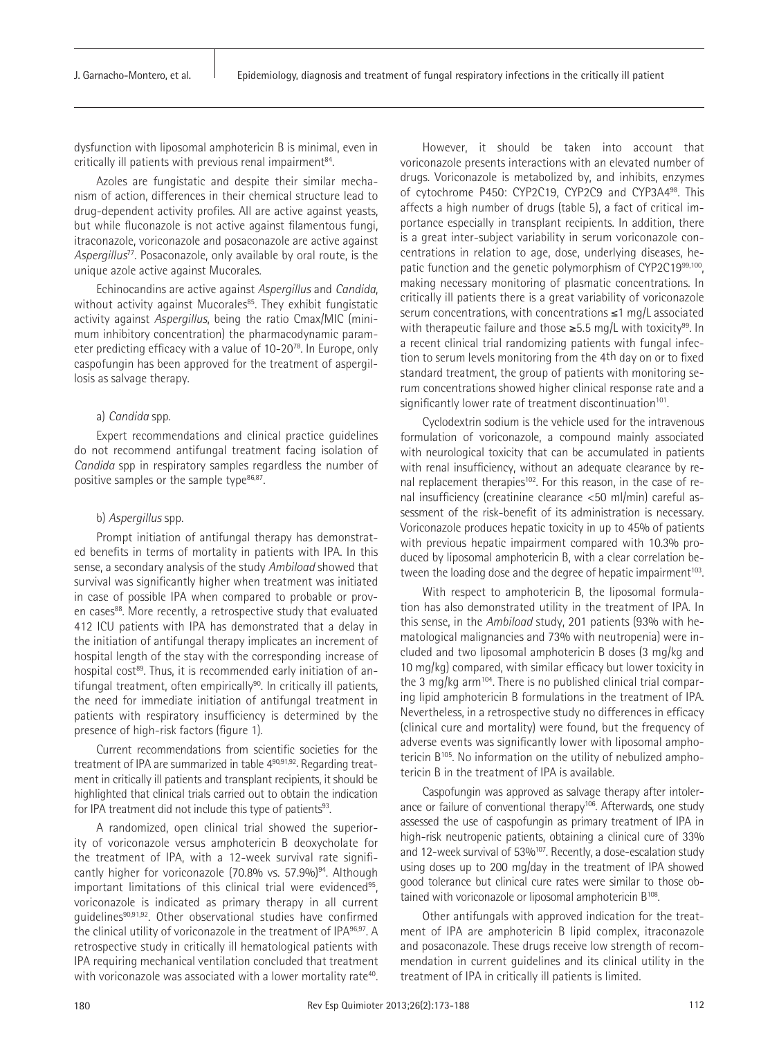dysfunction with liposomal amphotericin B is minimal, even in critically ill patients with previous renal impairment<sup>84</sup>.

Azoles are fungistatic and despite their similar mechanism of action, differences in their chemical structure lead to drug-dependent activity profiles. All are active against yeasts, but while fluconazole is not active against filamentous fungi, itraconazole, voriconazole and posaconazole are active against *Aspergillus*77. Posaconazole, only available by oral route, is the unique azole active against Mucorales.

Echinocandins are active against *Aspergillus* and *Candida*, without activity against Mucorales<sup>85</sup>. They exhibit fungistatic activity against *Aspergillus*, being the ratio Cmax/MIC (minimum inhibitory concentration) the pharmacodynamic parameter predicting efficacy with a value of 10-2078. In Europe, only caspofungin has been approved for the treatment of aspergillosis as salvage therapy.

#### a) *Candida* spp.

Expert recommendations and clinical practice guidelines do not recommend antifungal treatment facing isolation of *Candida* spp in respiratory samples regardless the number of positive samples or the sample type<sup>86,87</sup>.

#### b) *Aspergillus* spp.

Prompt initiation of antifungal therapy has demonstrated benefits in terms of mortality in patients with IPA. In this sense, a secondary analysis of the study *Ambiload* showed that survival was significantly higher when treatment was initiated in case of possible IPA when compared to probable or proven cases<sup>88</sup>. More recently, a retrospective study that evaluated 412 ICU patients with IPA has demonstrated that a delay in the initiation of antifungal therapy implicates an increment of hospital length of the stay with the corresponding increase of hospital cost<sup>89</sup>. Thus, it is recommended early initiation of antifungal treatment, often empirically<sup>90</sup>. In critically ill patients, the need for immediate initiation of antifungal treatment in patients with respiratory insufficiency is determined by the presence of high-risk factors (figure 1).

Current recommendations from scientific societies for the treatment of IPA are summarized in table 4<sup>90,91,92</sup>. Regarding treatment in critically ill patients and transplant recipients, it should be highlighted that clinical trials carried out to obtain the indication for IPA treatment did not include this type of patients<sup>93</sup>.

A randomized, open clinical trial showed the superiority of voriconazole versus amphotericin B deoxycholate for the treatment of IPA, with a 12-week survival rate significantly higher for voriconazole (70.8% vs. 57.9%)<sup>94</sup>. Although important limitations of this clinical trial were evidenced<sup>95</sup>, voriconazole is indicated as primary therapy in all current quidelines<sup>90,91,92</sup>. Other observational studies have confirmed the clinical utility of voriconazole in the treatment of IPA<sup>96,97</sup>. A retrospective study in critically ill hematological patients with IPA requiring mechanical ventilation concluded that treatment with voriconazole was associated with a lower mortality rate<sup>40</sup>.

However, it should be taken into account that voriconazole presents interactions with an elevated number of drugs. Voriconazole is metabolized by, and inhibits, enzymes of cytochrome P450: CYP2C19, CYP2C9 and CYP3A498. This affects a high number of drugs (table 5), a fact of critical importance especially in transplant recipients. In addition, there is a great inter-subject variability in serum voriconazole concentrations in relation to age, dose, underlying diseases, hepatic function and the genetic polymorphism of CYP2C1999,100, making necessary monitoring of plasmatic concentrations. In critically ill patients there is a great variability of voriconazole serum concentrations, with concentrations ≤1 mg/L associated with therapeutic failure and those  $\geq$ 5.5 mg/L with toxicity<sup>99</sup>. In a recent clinical trial randomizing patients with fungal infection to serum levels monitoring from the 4th day on or to fixed standard treatment, the group of patients with monitoring serum concentrations showed higher clinical response rate and a significantly lower rate of treatment discontinuation<sup>101</sup>.

Cyclodextrin sodium is the vehicle used for the intravenous formulation of voriconazole, a compound mainly associated with neurological toxicity that can be accumulated in patients with renal insufficiency, without an adequate clearance by renal replacement therapies<sup>102</sup>. For this reason, in the case of renal insufficiency (creatinine clearance <50 ml/min) careful assessment of the risk-benefit of its administration is necessary. Voriconazole produces hepatic toxicity in up to 45% of patients with previous hepatic impairment compared with 10.3% produced by liposomal amphotericin B, with a clear correlation between the loading dose and the degree of hepatic impairment<sup>103</sup>.

With respect to amphotericin B, the liposomal formulation has also demonstrated utility in the treatment of IPA. In this sense, in the *Ambiload* study, 201 patients (93% with hematological malignancies and 73% with neutropenia) were included and two liposomal amphotericin B doses (3 mg/kg and 10 mg/kg) compared, with similar efficacy but lower toxicity in the 3 mg/kg arm<sup>104</sup>. There is no published clinical trial comparing lipid amphotericin B formulations in the treatment of IPA. Nevertheless, in a retrospective study no differences in efficacy (clinical cure and mortality) were found, but the frequency of adverse events was significantly lower with liposomal amphotericin B<sup>105</sup>. No information on the utility of nebulized amphotericin B in the treatment of IPA is available.

Caspofungin was approved as salvage therapy after intolerance or failure of conventional therapy<sup>106</sup>. Afterwards, one study assessed the use of caspofungin as primary treatment of IPA in high-risk neutropenic patients, obtaining a clinical cure of 33% and 12-week survival of 53%<sup>107</sup>. Recently, a dose-escalation study using doses up to 200 mg/day in the treatment of IPA showed good tolerance but clinical cure rates were similar to those obtained with voriconazole or liposomal amphotericin B<sup>108</sup>.

Other antifungals with approved indication for the treatment of IPA are amphotericin B lipid complex, itraconazole and posaconazole. These drugs receive low strength of recommendation in current guidelines and its clinical utility in the treatment of IPA in critically ill patients is limited.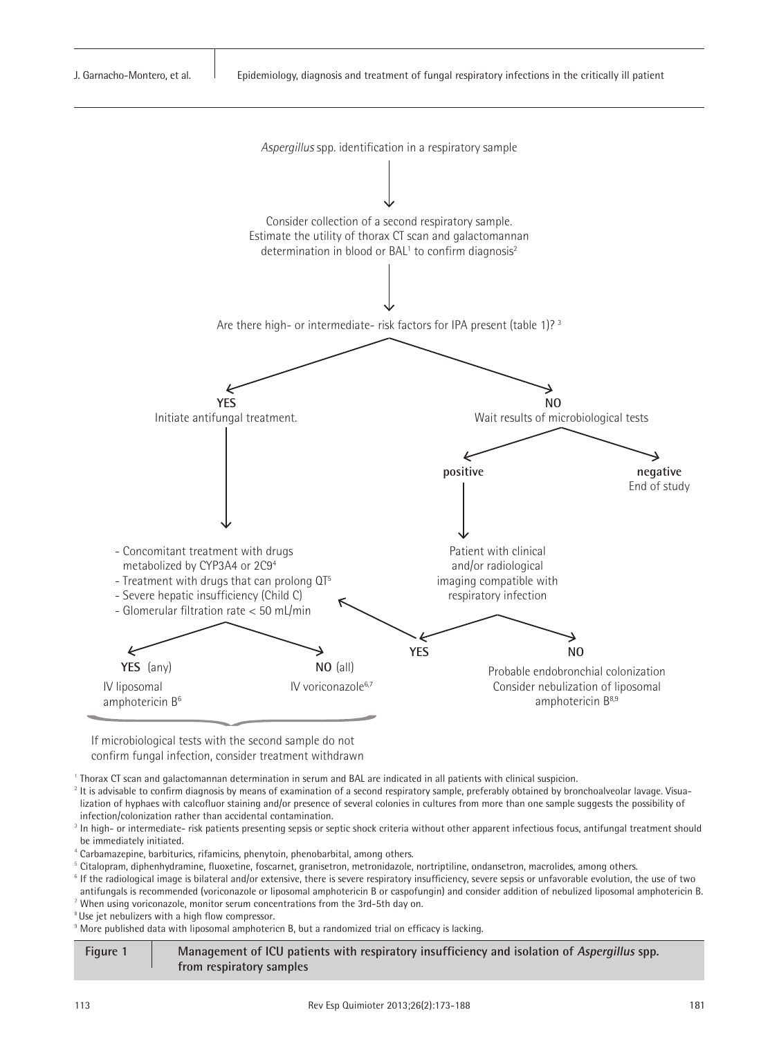

If microbiological tests with the second sample do not confirm fungal infection, consider treatment withdrawn

<sup>1</sup>Thorax CT scan and galactomannan determination in serum and BAL are indicated in all patients with clinical suspicion.

<sup>2</sup> It is advisable to confirm diagnosis by means of examination of a second respiratory sample, preferably obtained by bronchoalveolar lavage. Visualization of hyphaes with calcofluor staining and/or presence of several colonies in cultures from more than one sample suggests the possibility of infection/colonization rather than accidental contamination.

<sup>3</sup> In high- or intermediate- risk patients presenting sepsis or septic shock criteria without other apparent infectious focus, antifungal treatment should be immediately initiated.

4 Carbamazepine, barbiturics, rifamicins, phenytoin, phenobarbital, among others.

<sup>5</sup>Citalopram, diphenhydramine, fluoxetine, foscarnet, granisetron, metronidazole, nortriptiline, ondansetron, macrolides, among others.

<sup>6</sup> If the radiological image is bilateral and/or extensive, there is severe respiratory insufficiency, severe sepsis or unfavorable evolution, the use of two antifungals is recommended (voriconazole or liposomal amphotericin B or caspofungin) and consider addition of nebulized liposomal amphotericin B.

<sup>7</sup> When using voriconazole, monitor serum concentrations from the 3rd-5th day on.

<sup>8</sup>Use jet nebulizers with a high flow compressor.

 $^\circ$  More published data with liposomal amphotericn B, but a randomized trial on efficacy is lacking.

**Figure 1 Management of ICU patients with respiratory insufficiency and isolation of Aspergillus spp. from respiratory samples**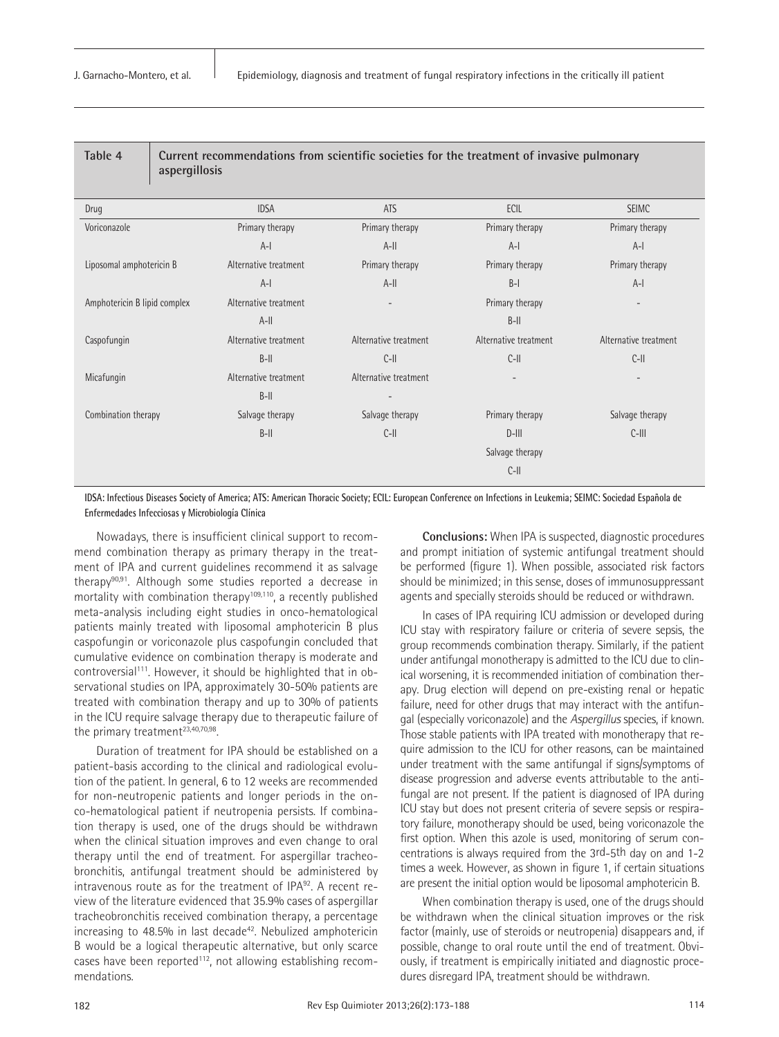| Table 4                      | Current recommendations from scientific societies for the treatment of invasive pulmonary<br>aspergillosis |                       |                       |                       |                       |
|------------------------------|------------------------------------------------------------------------------------------------------------|-----------------------|-----------------------|-----------------------|-----------------------|
| Drug                         |                                                                                                            | <b>IDSA</b>           | ATS                   | ECIL                  | <b>SEIMC</b>          |
| Voriconazole                 |                                                                                                            | Primary therapy       | Primary therapy       | Primary therapy       | Primary therapy       |
|                              |                                                                                                            | $A-I$                 | $A-H$                 | $A-I$                 | $A-I$                 |
| Liposomal amphotericin B     |                                                                                                            | Alternative treatment | Primary therapy       | Primary therapy       | Primary therapy       |
|                              |                                                                                                            | $A-I$                 | $A-H$                 | $B-I$                 | $A-I$                 |
| Amphotericin B lipid complex |                                                                                                            | Alternative treatment | $\qquad \qquad$       | Primary therapy       |                       |
|                              |                                                                                                            | $A-II$                |                       | $B-II$                |                       |
| Caspofungin                  |                                                                                                            | Alternative treatment | Alternative treatment | Alternative treatment | Alternative treatment |
|                              |                                                                                                            | $B-II$                | $C-III$               | $C$ -II               | $C$ -II               |
| Micafungin                   |                                                                                                            | Alternative treatment | Alternative treatment |                       |                       |
|                              |                                                                                                            | $B-II$                |                       |                       |                       |
| Combination therapy          |                                                                                                            | Salvage therapy       | Salvage therapy       | Primary therapy       | Salvage therapy       |
|                              |                                                                                                            | $B$ -II               | $C-1$                 | $D$ -III              | $C$ -III              |
|                              |                                                                                                            |                       |                       | Salvage therapy       |                       |
|                              |                                                                                                            |                       |                       | $C-II$                |                       |

**IDSA: Infectious Diseases Society of America; ATS: American Thoracic Society; ECIL: European Conference on Infections in Leukemia; SEIMC: Sociedad Española de Enfermedades Infecciosas y Microbiología Clínica**

Nowadays, there is insufficient clinical support to recommend combination therapy as primary therapy in the treatment of IPA and current guidelines recommend it as salvage therapy90,91. Although some studies reported a decrease in mortality with combination therapy<sup>109,110</sup>, a recently published meta-analysis including eight studies in onco-hematological patients mainly treated with liposomal amphotericin B plus caspofungin or voriconazole plus caspofungin concluded that cumulative evidence on combination therapy is moderate and controversial<sup>111</sup>. However, it should be highlighted that in observational studies on IPA, approximately 30-50% patients are treated with combination therapy and up to 30% of patients in the ICU require salvage therapy due to therapeutic failure of the primary treatment<sup>23,40,70,98</sup>.

Duration of treatment for IPA should be established on a patient-basis according to the clinical and radiological evolution of the patient. In general, 6 to 12 weeks are recommended for non-neutropenic patients and longer periods in the onco-hematological patient if neutropenia persists. If combination therapy is used, one of the drugs should be withdrawn when the clinical situation improves and even change to oral therapy until the end of treatment. For aspergillar tracheobronchitis, antifungal treatment should be administered by intravenous route as for the treatment of IPA92. A recent review of the literature evidenced that 35.9% cases of aspergillar tracheobronchitis received combination therapy, a percentage increasing to  $48.5\%$  in last decade<sup>42</sup>. Nebulized amphotericin B would be a logical therapeutic alternative, but only scarce cases have been reported<sup>112</sup>, not allowing establishing recommendations.

**Conclusions:** When IPA is suspected, diagnostic procedures and prompt initiation of systemic antifungal treatment should be performed (figure 1). When possible, associated risk factors should be minimized; in this sense, doses of immunosuppressant agents and specially steroids should be reduced or withdrawn.

In cases of IPA requiring ICU admission or developed during ICU stay with respiratory failure or criteria of severe sepsis, the group recommends combination therapy. Similarly, if the patient under antifungal monotherapy is admitted to the ICU due to clinical worsening, it is recommended initiation of combination therapy. Drug election will depend on pre-existing renal or hepatic failure, need for other drugs that may interact with the antifungal (especially voriconazole) and the *Aspergillus* species, if known. Those stable patients with IPA treated with monotherapy that require admission to the ICU for other reasons, can be maintained under treatment with the same antifungal if signs/symptoms of disease progression and adverse events attributable to the antifungal are not present. If the patient is diagnosed of IPA during ICU stay but does not present criteria of severe sepsis or respiratory failure, monotherapy should be used, being voriconazole the first option. When this azole is used, monitoring of serum concentrations is always required from the 3rd-5th day on and 1-2 times a week. However, as shown in figure 1, if certain situations are present the initial option would be liposomal amphotericin B.

When combination therapy is used, one of the drugs should be withdrawn when the clinical situation improves or the risk factor (mainly, use of steroids or neutropenia) disappears and, if possible, change to oral route until the end of treatment. Obviously, if treatment is empirically initiated and diagnostic procedures disregard IPA, treatment should be withdrawn.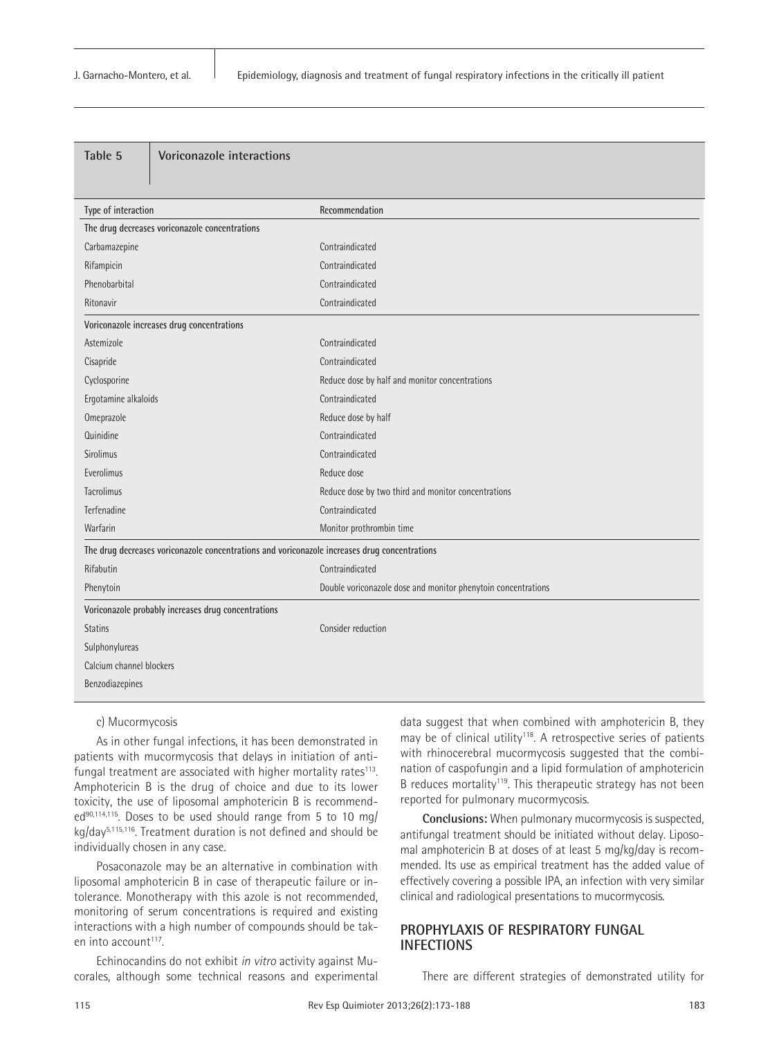| Type of interaction<br>Recommendation<br>The drug decreases voriconazole concentrations<br>Carbamazepine<br>Contraindicated<br>Rifampicin<br>Contraindicated<br>Phenobarbital<br>Contraindicated<br>Contraindicated<br>Ritonavir<br>Voriconazole increases drug concentrations<br>Contraindicated<br>Astemizole<br>Contraindicated<br>Cisapride<br>Cyclosporine<br>Reduce dose by half and monitor concentrations<br>Contraindicated<br>Ergotamine alkaloids<br>Omeprazole<br>Reduce dose by half<br>Quinidine<br>Contraindicated<br>Sirolimus<br>Contraindicated<br>Everolimus<br>Reduce dose<br>Tacrolimus<br>Reduce dose by two third and monitor concentrations<br>Terfenadine<br>Contraindicated<br>Warfarin<br>Monitor prothrombin time<br>The drug decreases voriconazole concentrations and voriconazole increases drug concentrations<br>Rifabutin<br>Contraindicated<br>Phenytoin<br>Double voriconazole dose and monitor phenytoin concentrations<br>Voriconazole probably increases drug concentrations<br><b>Statins</b><br>Consider reduction<br>Sulphonylureas<br>Calcium channel blockers<br>Benzodiazepines | Table 5 | Voriconazole interactions |  |
|------------------------------------------------------------------------------------------------------------------------------------------------------------------------------------------------------------------------------------------------------------------------------------------------------------------------------------------------------------------------------------------------------------------------------------------------------------------------------------------------------------------------------------------------------------------------------------------------------------------------------------------------------------------------------------------------------------------------------------------------------------------------------------------------------------------------------------------------------------------------------------------------------------------------------------------------------------------------------------------------------------------------------------------------------------------------------------------------------------------------------|---------|---------------------------|--|
|                                                                                                                                                                                                                                                                                                                                                                                                                                                                                                                                                                                                                                                                                                                                                                                                                                                                                                                                                                                                                                                                                                                              |         |                           |  |
|                                                                                                                                                                                                                                                                                                                                                                                                                                                                                                                                                                                                                                                                                                                                                                                                                                                                                                                                                                                                                                                                                                                              |         |                           |  |
|                                                                                                                                                                                                                                                                                                                                                                                                                                                                                                                                                                                                                                                                                                                                                                                                                                                                                                                                                                                                                                                                                                                              |         |                           |  |
|                                                                                                                                                                                                                                                                                                                                                                                                                                                                                                                                                                                                                                                                                                                                                                                                                                                                                                                                                                                                                                                                                                                              |         |                           |  |
|                                                                                                                                                                                                                                                                                                                                                                                                                                                                                                                                                                                                                                                                                                                                                                                                                                                                                                                                                                                                                                                                                                                              |         |                           |  |
|                                                                                                                                                                                                                                                                                                                                                                                                                                                                                                                                                                                                                                                                                                                                                                                                                                                                                                                                                                                                                                                                                                                              |         |                           |  |
|                                                                                                                                                                                                                                                                                                                                                                                                                                                                                                                                                                                                                                                                                                                                                                                                                                                                                                                                                                                                                                                                                                                              |         |                           |  |
|                                                                                                                                                                                                                                                                                                                                                                                                                                                                                                                                                                                                                                                                                                                                                                                                                                                                                                                                                                                                                                                                                                                              |         |                           |  |
|                                                                                                                                                                                                                                                                                                                                                                                                                                                                                                                                                                                                                                                                                                                                                                                                                                                                                                                                                                                                                                                                                                                              |         |                           |  |
|                                                                                                                                                                                                                                                                                                                                                                                                                                                                                                                                                                                                                                                                                                                                                                                                                                                                                                                                                                                                                                                                                                                              |         |                           |  |
|                                                                                                                                                                                                                                                                                                                                                                                                                                                                                                                                                                                                                                                                                                                                                                                                                                                                                                                                                                                                                                                                                                                              |         |                           |  |
|                                                                                                                                                                                                                                                                                                                                                                                                                                                                                                                                                                                                                                                                                                                                                                                                                                                                                                                                                                                                                                                                                                                              |         |                           |  |
|                                                                                                                                                                                                                                                                                                                                                                                                                                                                                                                                                                                                                                                                                                                                                                                                                                                                                                                                                                                                                                                                                                                              |         |                           |  |
|                                                                                                                                                                                                                                                                                                                                                                                                                                                                                                                                                                                                                                                                                                                                                                                                                                                                                                                                                                                                                                                                                                                              |         |                           |  |
|                                                                                                                                                                                                                                                                                                                                                                                                                                                                                                                                                                                                                                                                                                                                                                                                                                                                                                                                                                                                                                                                                                                              |         |                           |  |
|                                                                                                                                                                                                                                                                                                                                                                                                                                                                                                                                                                                                                                                                                                                                                                                                                                                                                                                                                                                                                                                                                                                              |         |                           |  |
|                                                                                                                                                                                                                                                                                                                                                                                                                                                                                                                                                                                                                                                                                                                                                                                                                                                                                                                                                                                                                                                                                                                              |         |                           |  |
|                                                                                                                                                                                                                                                                                                                                                                                                                                                                                                                                                                                                                                                                                                                                                                                                                                                                                                                                                                                                                                                                                                                              |         |                           |  |
|                                                                                                                                                                                                                                                                                                                                                                                                                                                                                                                                                                                                                                                                                                                                                                                                                                                                                                                                                                                                                                                                                                                              |         |                           |  |
|                                                                                                                                                                                                                                                                                                                                                                                                                                                                                                                                                                                                                                                                                                                                                                                                                                                                                                                                                                                                                                                                                                                              |         |                           |  |
|                                                                                                                                                                                                                                                                                                                                                                                                                                                                                                                                                                                                                                                                                                                                                                                                                                                                                                                                                                                                                                                                                                                              |         |                           |  |
|                                                                                                                                                                                                                                                                                                                                                                                                                                                                                                                                                                                                                                                                                                                                                                                                                                                                                                                                                                                                                                                                                                                              |         |                           |  |
|                                                                                                                                                                                                                                                                                                                                                                                                                                                                                                                                                                                                                                                                                                                                                                                                                                                                                                                                                                                                                                                                                                                              |         |                           |  |
|                                                                                                                                                                                                                                                                                                                                                                                                                                                                                                                                                                                                                                                                                                                                                                                                                                                                                                                                                                                                                                                                                                                              |         |                           |  |
|                                                                                                                                                                                                                                                                                                                                                                                                                                                                                                                                                                                                                                                                                                                                                                                                                                                                                                                                                                                                                                                                                                                              |         |                           |  |
|                                                                                                                                                                                                                                                                                                                                                                                                                                                                                                                                                                                                                                                                                                                                                                                                                                                                                                                                                                                                                                                                                                                              |         |                           |  |
|                                                                                                                                                                                                                                                                                                                                                                                                                                                                                                                                                                                                                                                                                                                                                                                                                                                                                                                                                                                                                                                                                                                              |         |                           |  |
|                                                                                                                                                                                                                                                                                                                                                                                                                                                                                                                                                                                                                                                                                                                                                                                                                                                                                                                                                                                                                                                                                                                              |         |                           |  |

#### c) Mucormycosis

As in other fungal infections, it has been demonstrated in patients with mucormycosis that delays in initiation of antifungal treatment are associated with higher mortality rates $113$ . Amphotericin B is the drug of choice and due to its lower toxicity, the use of liposomal amphotericin B is recommended<sup>90,114,115</sup>. Doses to be used should range from 5 to 10 mg/ kg/day5,115,116. Treatment duration is not defined and should be individually chosen in any case.

Posaconazole may be an alternative in combination with liposomal amphotericin B in case of therapeutic failure or intolerance. Monotherapy with this azole is not recommended, monitoring of serum concentrations is required and existing interactions with a high number of compounds should be taken into account<sup>117</sup>.

Echinocandins do not exhibit *in vitro* activity against Mucorales, although some technical reasons and experimental data suggest that when combined with amphotericin B, they may be of clinical utility<sup>118</sup>. A retrospective series of patients with rhinocerebral mucormycosis suggested that the combination of caspofungin and a lipid formulation of amphotericin B reduces mortality<sup>119</sup>. This therapeutic strategy has not been reported for pulmonary mucormycosis.

**Conclusions:** When pulmonary mucormycosis is suspected, antifungal treatment should be initiated without delay. Liposomal amphotericin B at doses of at least 5 mg/kg/day is recommended. Its use as empirical treatment has the added value of effectively covering a possible IPA, an infection with very similar clinical and radiological presentations to mucormycosis.

## **PROPHYLAXIS OF RESPIRATORY FUNGAL INFECTIONS**

There are different strategies of demonstrated utility for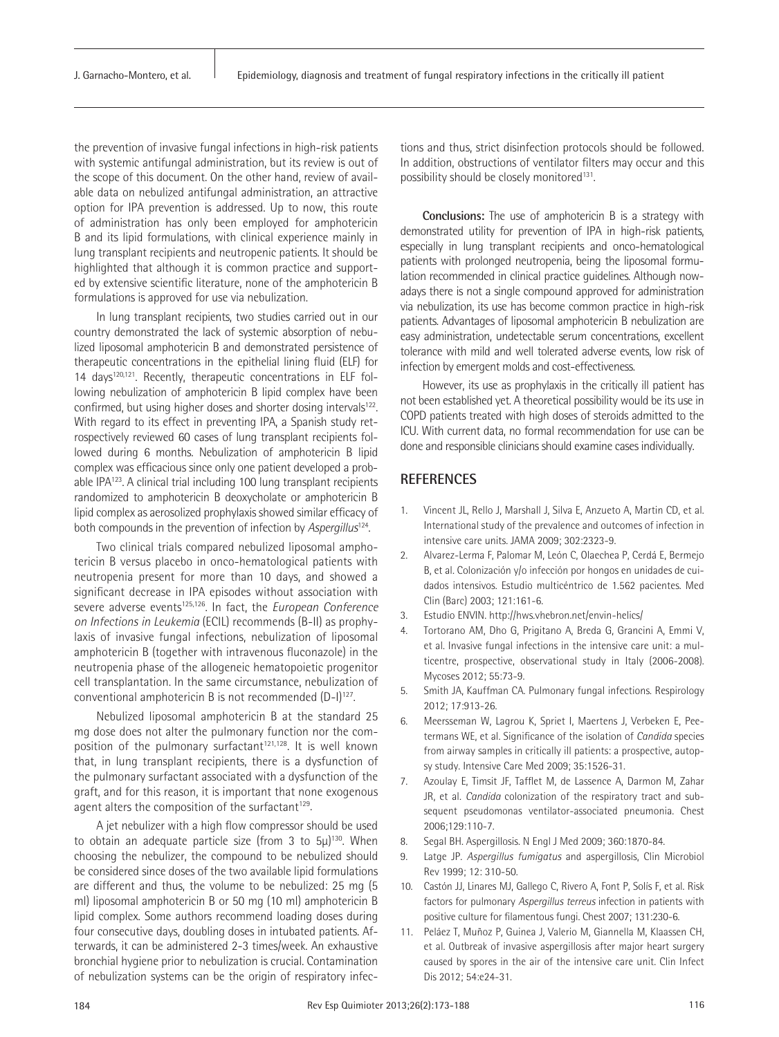the prevention of invasive fungal infections in high-risk patients with systemic antifungal administration, but its review is out of the scope of this document. On the other hand, review of available data on nebulized antifungal administration, an attractive option for IPA prevention is addressed. Up to now, this route of administration has only been employed for amphotericin B and its lipid formulations, with clinical experience mainly in lung transplant recipients and neutropenic patients. It should be highlighted that although it is common practice and supported by extensive scientific literature, none of the amphotericin B formulations is approved for use via nebulization.

In lung transplant recipients, two studies carried out in our country demonstrated the lack of systemic absorption of nebulized liposomal amphotericin B and demonstrated persistence of therapeutic concentrations in the epithelial lining fluid (ELF) for 14 days120,121. Recently, therapeutic concentrations in ELF following nebulization of amphotericin B lipid complex have been confirmed, but using higher doses and shorter dosing intervals<sup>122</sup>. With regard to its effect in preventing IPA, a Spanish study retrospectively reviewed 60 cases of lung transplant recipients followed during 6 months. Nebulization of amphotericin B lipid complex was efficacious since only one patient developed a probable IPA<sup>123</sup>. A clinical trial including 100 lung transplant recipients randomized to amphotericin B deoxycholate or amphotericin B lipid complex as aerosolized prophylaxis showed similar efficacy of both compounds in the prevention of infection by *Aspergillus*124.

Two clinical trials compared nebulized liposomal amphotericin B versus placebo in onco-hematological patients with neutropenia present for more than 10 days, and showed a significant decrease in IPA episodes without association with severe adverse events<sup>125,126</sup>. In fact, the *European Conference on Infections in Leukemia* (ECIL) recommends (B-II) as prophylaxis of invasive fungal infections, nebulization of liposomal amphotericin B (together with intravenous fluconazole) in the neutropenia phase of the allogeneic hematopoietic progenitor cell transplantation. In the same circumstance, nebulization of conventional amphotericin B is not recommended (D-I)<sup>127</sup>.

Nebulized liposomal amphotericin B at the standard 25 mg dose does not alter the pulmonary function nor the composition of the pulmonary surfactant<sup>121,128</sup>. It is well known that, in lung transplant recipients, there is a dysfunction of the pulmonary surfactant associated with a dysfunction of the graft, and for this reason, it is important that none exogenous agent alters the composition of the surfactant<sup>129</sup>.

A jet nebulizer with a high flow compressor should be used to obtain an adequate particle size (from 3 to 5μ)130. When choosing the nebulizer, the compound to be nebulized should be considered since doses of the two available lipid formulations are different and thus, the volume to be nebulized: 25 mg (5 ml) liposomal amphotericin B or 50 mg (10 ml) amphotericin B lipid complex. Some authors recommend loading doses during four consecutive days, doubling doses in intubated patients. Afterwards, it can be administered 2-3 times/week. An exhaustive bronchial hygiene prior to nebulization is crucial. Contamination of nebulization systems can be the origin of respiratory infec-

tions and thus, strict disinfection protocols should be followed. In addition, obstructions of ventilator filters may occur and this possibility should be closely monitored<sup>131</sup>.

**Conclusions:** The use of amphotericin B is a strategy with demonstrated utility for prevention of IPA in high-risk patients, especially in lung transplant recipients and onco-hematological patients with prolonged neutropenia, being the liposomal formulation recommended in clinical practice guidelines. Although nowadays there is not a single compound approved for administration via nebulization, its use has become common practice in high-risk patients. Advantages of liposomal amphotericin B nebulization are easy administration, undetectable serum concentrations, excellent tolerance with mild and well tolerated adverse events, low risk of infection by emergent molds and cost-effectiveness.

However, its use as prophylaxis in the critically ill patient has not been established yet. A theoretical possibility would be its use in COPD patients treated with high doses of steroids admitted to the ICU. With current data, no formal recommendation for use can be done and responsible clinicians should examine cases individually.

# **REFERENCES**

- 1. Vincent JL, Rello J, Marshall J, Silva E, Anzueto A, Martin CD, et al. International study of the prevalence and outcomes of infection in intensive care units. JAMA 2009; 302:2323-9.
- 2. Alvarez-Lerma F, Palomar M, León C, Olaechea P, Cerdá E, Bermejo B, et al. Colonización y/o infección por hongos en unidades de cuidados intensivos. Estudio multicéntrico de 1.562 pacientes. Med Clin (Barc) 2003; 121:161-6.
- 3. Estudio ENVIN. http://hws.vhebron.net/envin-helics/
- 4. Tortorano AM, Dho G, Prigitano A, Breda G, Grancini A, Emmi V, et al. Invasive fungal infections in the intensive care unit: a multicentre, prospective, observational study in Italy (2006-2008). Mycoses 2012; 55:73-9.
- 5. Smith JA, Kauffman CA. Pulmonary fungal infections. Respirology 2012; 17:913-26.
- 6. Meersseman W, Lagrou K, Spriet I, Maertens J, Verbeken E, Peetermans WE, et al. Significance of the isolation of *Candida* species from airway samples in critically ill patients: a prospective, autopsy study. Intensive Care Med 2009; 35:1526-31.
- 7. Azoulay E, Timsit JF, Tafflet M, de Lassence A, Darmon M, Zahar JR, et al. *Candida* colonization of the respiratory tract and subsequent pseudomonas ventilator-associated pneumonia. Chest 2006;129:110-7.
- 8. Segal BH. Aspergillosis. N Engl J Med 2009; 360:1870-84.
- 9. Latge JP. *Aspergillus fumigatus* and aspergillosis, Clin Microbiol Rev 1999; 12: 310-50.
- 10. Castón JJ, Linares MJ, Gallego C, Rivero A, Font P, Solís F, et al. Risk factors for pulmonary *Aspergillus terreus* infection in patients with positive culture for filamentous fungi. Chest 2007; 131:230-6.
- 11. Peláez T, Muñoz P, Guinea J, Valerio M, Giannella M, Klaassen CH, et al. Outbreak of invasive aspergillosis after major heart surgery caused by spores in the air of the intensive care unit. Clin Infect Dis 2012; 54:e24-31.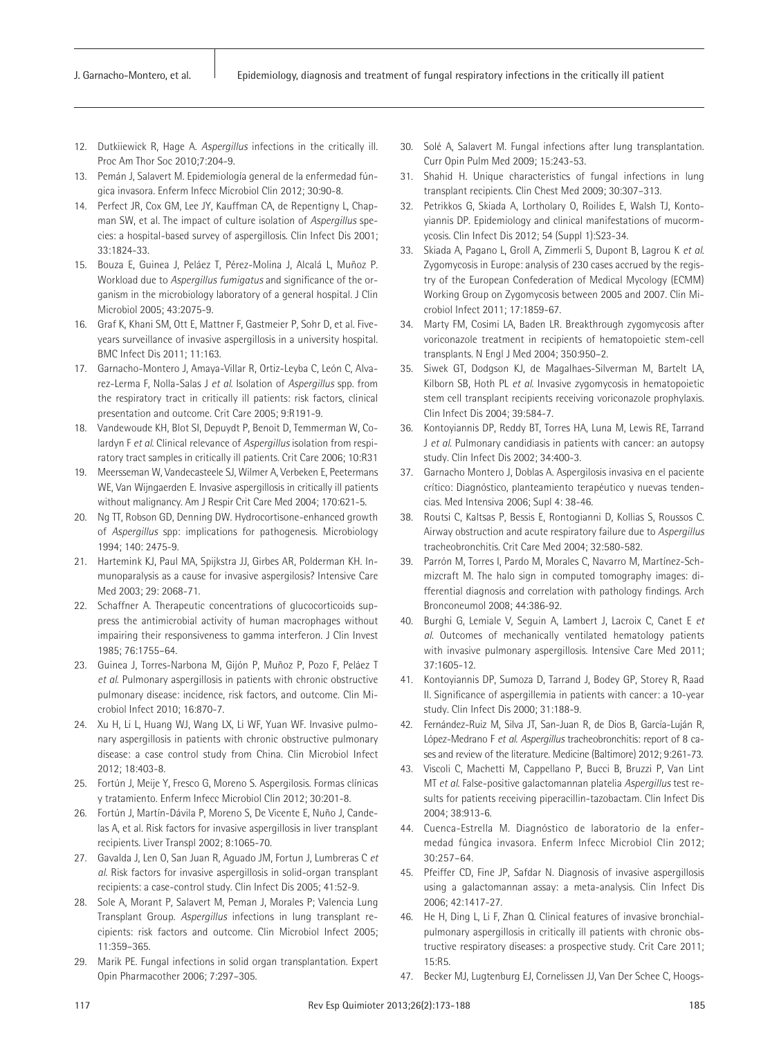- 12. Dutkiiewick R, Hage A. *Aspergillus* infections in the critically ill. Proc Am Thor Soc 2010;7:204-9.
- 13. Pemán J, Salavert M. Epidemiología general de la enfermedad fúngica invasora. Enferm Infecc Microbiol Clin 2012; 30:90-8.
- 14. Perfect JR, Cox GM, Lee JY, Kauffman CA, de Repentigny L, Chapman SW, et al. The impact of culture isolation of *Aspergillus* species: a hospital-based survey of aspergillosis. Clin Infect Dis 2001; 33:1824-33.
- 15. Bouza E, Guinea J, Peláez T, Pérez-Molina J, Alcalá L, Muñoz P. Workload due to *Aspergillus fumigatus* and significance of the organism in the microbiology laboratory of a general hospital. J Clin Microbiol 2005; 43:2075-9.
- 16. Graf K, Khani SM, Ott E, Mattner F, Gastmeier P, Sohr D, et al. Fiveyears surveillance of invasive aspergillosis in a university hospital. BMC Infect Dis 2011; 11:163.
- 17. Garnacho-Montero J, Amaya-Villar R, Ortiz-Leyba C, León C, Alvarez-Lerma F, Nolla-Salas J *et al*. Isolation of *Aspergillus* spp. from the respiratory tract in critically ill patients: risk factors, clinical presentation and outcome. Crit Care 2005; 9:R191-9.
- 18. Vandewoude KH, Blot SI, Depuydt P, Benoit D, Temmerman W, Colardyn F *et al*. Clinical relevance of *Aspergillus* isolation from respiratory tract samples in critically ill patients. Crit Care 2006; 10:R31
- 19. Meersseman W, Vandecasteele SJ, Wilmer A, Verbeken E, Peetermans WE, Van Wijngaerden E. Invasive aspergillosis in critically ill patients without malignancy. Am J Respir Crit Care Med 2004; 170:621-5.
- 20. Ng TT, Robson GD, Denning DW. Hydrocortisone-enhanced growth of *Aspergillus* spp: implications for pathogenesis. Microbiology 1994; 140: 2475-9.
- 21. Hartemink KJ, Paul MA, Spijkstra JJ, Girbes AR, Polderman KH. Inmunoparalysis as a cause for invasive aspergilosis? Intensive Care Med 2003; 29: 2068-71.
- 22. Schaffner A. Therapeutic concentrations of glucocorticoids suppress the antimicrobial activity of human macrophages without impairing their responsiveness to gamma interferon. J Clin Invest 1985; 76:1755–64.
- 23. Guinea J, Torres-Narbona M, Gijón P, Muñoz P, Pozo F, Peláez T *et al*. Pulmonary aspergillosis in patients with chronic obstructive pulmonary disease: incidence, risk factors, and outcome. Clin Microbiol Infect 2010; 16:870-7.
- 24. Xu H, Li L, Huang WJ, Wang LX, Li WF, Yuan WF. Invasive pulmonary aspergillosis in patients with chronic obstructive pulmonary disease: a case control study from China. Clin Microbiol Infect 2012; 18:403-8.
- 25. Fortún J, Meije Y, Fresco G, Moreno S. Aspergilosis. Formas clínicas y tratamiento. Enferm Infecc Microbiol Clin 2012; 30:201-8.
- 26. Fortún J, Martín-Dávila P, Moreno S, De Vicente E, Nuño J, Candelas A, et al. Risk factors for invasive aspergillosis in liver transplant recipients. Liver Transpl 2002; 8:1065-70.
- 27. Gavalda J, Len O, San Juan R, Aguado JM, Fortun J, Lumbreras C *et al*. Risk factors for invasive aspergillosis in solid-organ transplant recipients: a case-control study. Clin Infect Dis 2005; 41:52-9.
- 28. Sole A, Morant P, Salavert M, Peman J, Morales P; Valencia Lung Transplant Group. *Aspergillus* infections in lung transplant recipients: risk factors and outcome. Clin Microbiol Infect 2005; 11:359–365.
- 29. Marik PE. Fungal infections in solid organ transplantation. Expert Opin Pharmacother 2006; 7:297–305.
- 30. Solé A, Salavert M. Fungal infections after lung transplantation. Curr Opin Pulm Med 2009; 15:243-53.
- 31. Shahid H. Unique characteristics of fungal infections in lung transplant recipients. Clin Chest Med 2009; 30:307–313.
- 32. Petrikkos G, Skiada A, Lortholary O, Roilides E, Walsh TJ, Kontoyiannis DP. Epidemiology and clinical manifestations of mucormycosis. Clin Infect Dis 2012; 54 (Suppl 1):S23-34.
- 33. Skiada A, Pagano L, Groll A, Zimmerli S, Dupont B, Lagrou K *et al*. Zygomycosis in Europe: analysis of 230 cases accrued by the registry of the European Confederation of Medical Mycology (ECMM) Working Group on Zygomycosis between 2005 and 2007. Clin Microbiol Infect 2011; 17:1859-67.
- 34. Marty FM, Cosimi LA, Baden LR. Breakthrough zygomycosis after voriconazole treatment in recipients of hematopoietic stem-cell transplants. N Engl J Med 2004; 350:950–2.
- 35. Siwek GT, Dodgson KJ, de Magalhaes-Silverman M, Bartelt LA, Kilborn SB, Hoth PL *et al*. Invasive zygomycosis in hematopoietic stem cell transplant recipients receiving voriconazole prophylaxis. Clin Infect Dis 2004; 39:584-7.
- 36. Kontoyiannis DP, Reddy BT, Torres HA, Luna M, Lewis RE, Tarrand J *et al*. Pulmonary candidiasis in patients with cancer: an autopsy study. Clin Infect Dis 2002; 34:400-3.
- 37. Garnacho Montero J, Doblas A. Aspergilosis invasiva en el paciente crítico: Diagnóstico, planteamiento terapéutico y nuevas tendencias. Med Intensiva 2006; Supl 4: 38-46.
- 38. Routsi C, Kaltsas P, Bessis E, Rontogianni D, Kollias S, Roussos C. Airway obstruction and acute respiratory failure due to *Aspergillus*  tracheobronchitis. Crit Care Med 2004; 32:580-582.
- 39. Parrón M, Torres I, Pardo M, Morales C, Navarro M, Martínez-Schmizcraft M. The halo sign in computed tomography images: differential diagnosis and correlation with pathology findings. Arch Bronconeumol 2008; 44:386-92.
- 40. Burghi G, Lemiale V, Seguin A, Lambert J, Lacroix C, Canet E *et al.* Outcomes of mechanically ventilated hematology patients with invasive pulmonary aspergillosis. Intensive Care Med 2011; 37:1605-12.
- 41. Kontoyiannis DP, Sumoza D, Tarrand J, Bodey GP, Storey R, Raad II. Significance of aspergillemia in patients with cancer: a 10-year study. Clin Infect Dis 2000; 31:188-9.
- 42. Fernández-Ruiz M, Silva JT, San-Juan R, de Dios B, García-Luján R, López-Medrano F *et al. Aspergillus* tracheobronchitis: report of 8 cases and review of the literature. Medicine (Baltimore) 2012; 9:261-73.
- 43. Viscoli C, Machetti M, Cappellano P, Bucci B, Bruzzi P, Van Lint MT *et al*. False-positive galactomannan platelia *Aspergillus* test results for patients receiving piperacillin-tazobactam. Clin Infect Dis 2004; 38:913-6.
- 44. Cuenca-Estrella M. Diagnóstico de laboratorio de la enfermedad fúngica invasora. Enferm Infecc Microbiol Clin 2012; 30:257–64.
- 45. Pfeiffer CD, Fine JP, Safdar N. Diagnosis of invasive aspergillosis using a galactomannan assay: a meta-analysis. Clin Infect Dis 2006; 42:1417-27.
- 46. He H, Ding L, Li F, Zhan Q. Clinical features of invasive bronchialpulmonary aspergillosis in critically ill patients with chronic obstructive respiratory diseases: a prospective study. Crit Care 2011; 15:R5.
- 47. Becker MJ, Lugtenburg EJ, Cornelissen JJ, Van Der Schee C, Hoogs-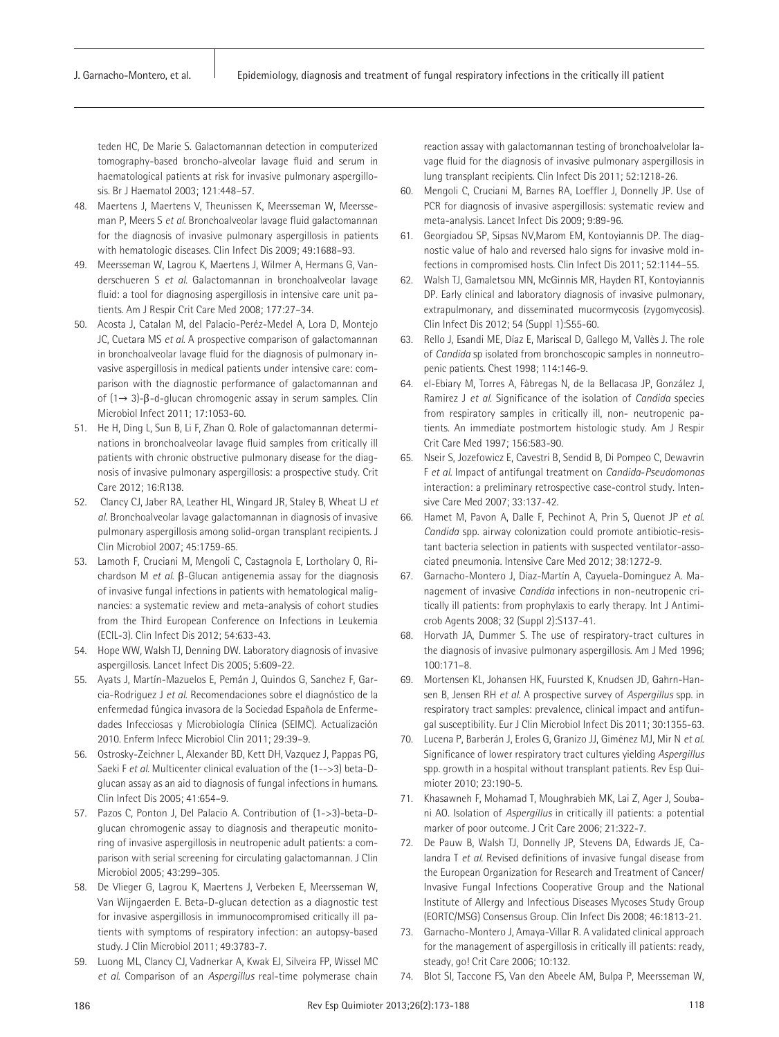teden HC, De Marie S. Galactomannan detection in computerized tomography-based broncho-alveolar lavage fluid and serum in haematological patients at risk for invasive pulmonary aspergillosis. Br J Haematol 2003; 121:448–57.

- 48. Maertens J, Maertens V, Theunissen K, Meersseman W, Meersseman P, Meers S *et al*. Bronchoalveolar lavage fluid galactomannan for the diagnosis of invasive pulmonary aspergillosis in patients with hematologic diseases. Clin Infect Dis 2009; 49:1688–93.
- 49. Meersseman W, Lagrou K, Maertens J, Wilmer A, Hermans G, Vanderschueren S *et al*. Galactomannan in bronchoalveolar lavage fluid: a tool for diagnosing aspergillosis in intensive care unit patients. Am J Respir Crit Care Med 2008; 177:27–34.
- 50. Acosta J, Catalan M, del Palacio-Peréz-Medel A, Lora D, Montejo JC, Cuetara MS *et al*. A prospective comparison of galactomannan in bronchoalveolar lavage fluid for the diagnosis of pulmonary invasive aspergillosis in medical patients under intensive care: comparison with the diagnostic performance of galactomannan and of (1→ 3)-β-d-glucan chromogenic assay in serum samples. Clin Microbiol Infect 2011; 17:1053-60.
- 51. He H, Ding L, Sun B, Li F, Zhan Q. Role of galactomannan determinations in bronchoalveolar lavage fluid samples from critically ill patients with chronic obstructive pulmonary disease for the diagnosis of invasive pulmonary aspergillosis: a prospective study. Crit Care 2012; 16:R138.
- 52. Clancy CJ, Jaber RA, Leather HL, Wingard JR, Staley B, Wheat LJ *et al.* Bronchoalveolar lavage galactomannan in diagnosis of invasive pulmonary aspergillosis among solid-organ transplant recipients. J Clin Microbiol 2007; 45:1759-65.
- 53. Lamoth F, Cruciani M, Mengoli C, Castagnola E, Lortholary O, Richardson M *et al*. β-Glucan antigenemia assay for the diagnosis of invasive fungal infections in patients with hematological malignancies: a systematic review and meta-analysis of cohort studies from the Third European Conference on Infections in Leukemia (ECIL-3). Clin Infect Dis 2012; 54:633-43.
- 54. Hope WW, Walsh TJ, Denning DW. Laboratory diagnosis of invasive aspergillosis. Lancet Infect Dis 2005; 5:609-22.
- 55. Ayats J, Martín-Mazuelos E, Pemán J, Quindos G, Sanchez F, Garcia-Rodriguez J *et al*. Recomendaciones sobre el diagnóstico de la enfermedad fúngica invasora de la Sociedad Española de Enfermedades Infecciosas y Microbiología Clínica (SEIMC). Actualización 2010. Enferm Infecc Microbiol Clin 2011; 29:39–9.
- 56. Ostrosky-Zeichner L, Alexander BD, Kett DH, Vazquez J, Pappas PG, Saeki F *et al*. Multicenter clinical evaluation of the (1-->3) beta-Dglucan assay as an aid to diagnosis of fungal infections in humans. Clin Infect Dis 2005; 41:654–9.
- 57. Pazos C, Ponton J, Del Palacio A. Contribution of (1->3)-beta-Dglucan chromogenic assay to diagnosis and therapeutic monitoring of invasive aspergillosis in neutropenic adult patients: a comparison with serial screening for circulating galactomannan. J Clin Microbiol 2005; 43:299–305.
- 58. De Vlieger G, Lagrou K, Maertens J, Verbeken E, Meersseman W, Van Wijngaerden E. Beta-D-glucan detection as a diagnostic test for invasive aspergillosis in immunocompromised critically ill patients with symptoms of respiratory infection: an autopsy-based study. J Clin Microbiol 2011; 49:3783-7.
- 59. Luong ML, Clancy CJ, Vadnerkar A, Kwak EJ, Silveira FP, Wissel MC *et al*. Comparison of an *Aspergillus* real-time polymerase chain

reaction assay with galactomannan testing of bronchoalvelolar lavage fluid for the diagnosis of invasive pulmonary aspergillosis in lung transplant recipients. Clin Infect Dis 2011; 52:1218-26.

- 60. Mengoli C, Cruciani M, Barnes RA, Loeffler J, Donnelly JP. Use of PCR for diagnosis of invasive aspergillosis: systematic review and meta-analysis. Lancet Infect Dis 2009; 9:89-96.
- 61. Georgiadou SP, Sipsas NV,Marom EM, Kontoyiannis DP. The diagnostic value of halo and reversed halo signs for invasive mold infections in compromised hosts. Clin Infect Dis 2011; 52:1144–55.
- 62. Walsh TJ, Gamaletsou MN, McGinnis MR, Hayden RT, Kontoyiannis DP. Early clinical and laboratory diagnosis of invasive pulmonary, extrapulmonary, and disseminated mucormycosis (zygomycosis). Clin Infect Dis 2012; 54 (Suppl 1):S55-60.
- 63. Rello J, Esandi ME, Díaz E, Mariscal D, Gallego M, Vallès J. The role of *Candida* sp isolated from bronchoscopic samples in nonneutropenic patients. Chest 1998; 114:146-9.
- 64. el-Ebiary M, Torres A, Fàbregas N, de la Bellacasa JP, González J, Ramirez J *et al*. Significance of the isolation of *Candida* species from respiratory samples in critically ill, non- neutropenic patients. An immediate postmortem histologic study. Am J Respir Crit Care Med 1997; 156:583-90.
- 65. Nseir S, Jozefowicz E, Cavestri B, Sendid B, Di Pompeo C, Dewavrin F *et al.* Impact of antifungal treatment on *Candida*-*Pseudomonas* interaction: a preliminary retrospective case-control study. Intensive Care Med 2007; 33:137-42.
- 66. Hamet M, Pavon A, Dalle F, Pechinot A, Prin S, Quenot JP *et al*. *Candida* spp. airway colonization could promote antibiotic-resistant bacteria selection in patients with suspected ventilator-associated pneumonia. Intensive Care Med 2012; 38:1272-9.
- 67. Garnacho-Montero J, Díaz-Martín A, Cayuela-Dominguez A. Management of invasive *Candida* infections in non-neutropenic critically ill patients: from prophylaxis to early therapy. Int J Antimicrob Agents 2008; 32 (Suppl 2):S137-41.
- 68. Horvath JA, Dummer S. The use of respiratory-tract cultures in the diagnosis of invasive pulmonary aspergillosis. Am J Med 1996; 100:171–8.
- 69. Mortensen KL, Johansen HK, Fuursted K, Knudsen JD, Gahrn-Hansen B, Jensen RH *et al*. A prospective survey of *Aspergillus* spp. in respiratory tract samples: prevalence, clinical impact and antifungal susceptibility. Eur J Clin Microbiol Infect Dis 2011; 30:1355-63.
- 70. Lucena P, Barberán J, Eroles G, Granizo JJ, Giménez MJ, Mir N *et al*. Significance of lower respiratory tract cultures yielding *Aspergillus* spp. growth in a hospital without transplant patients. Rev Esp Quimioter 2010; 23:190-5.
- 71. Khasawneh F, Mohamad T, Moughrabieh MK, Lai Z, Ager J, Soubani AO. Isolation of *Aspergillus* in critically ill patients: a potential marker of poor outcome. J Crit Care 2006; 21:322-7.
- 72. De Pauw B, Walsh TJ, Donnelly JP, Stevens DA, Edwards JE, Calandra T *et al*. Revised definitions of invasive fungal disease from the European Organization for Research and Treatment of Cancer/ Invasive Fungal Infections Cooperative Group and the National Institute of Allergy and Infectious Diseases Mycoses Study Group (EORTC/MSG) Consensus Group. Clin Infect Dis 2008; 46:1813-21.
- 73. Garnacho-Montero J, Amaya-Villar R. A validated clinical approach for the management of aspergillosis in critically ill patients: ready, steady, go! Crit Care 2006; 10:132.
- 74. Blot SI, Taccone FS, Van den Abeele AM, Bulpa P, Meersseman W,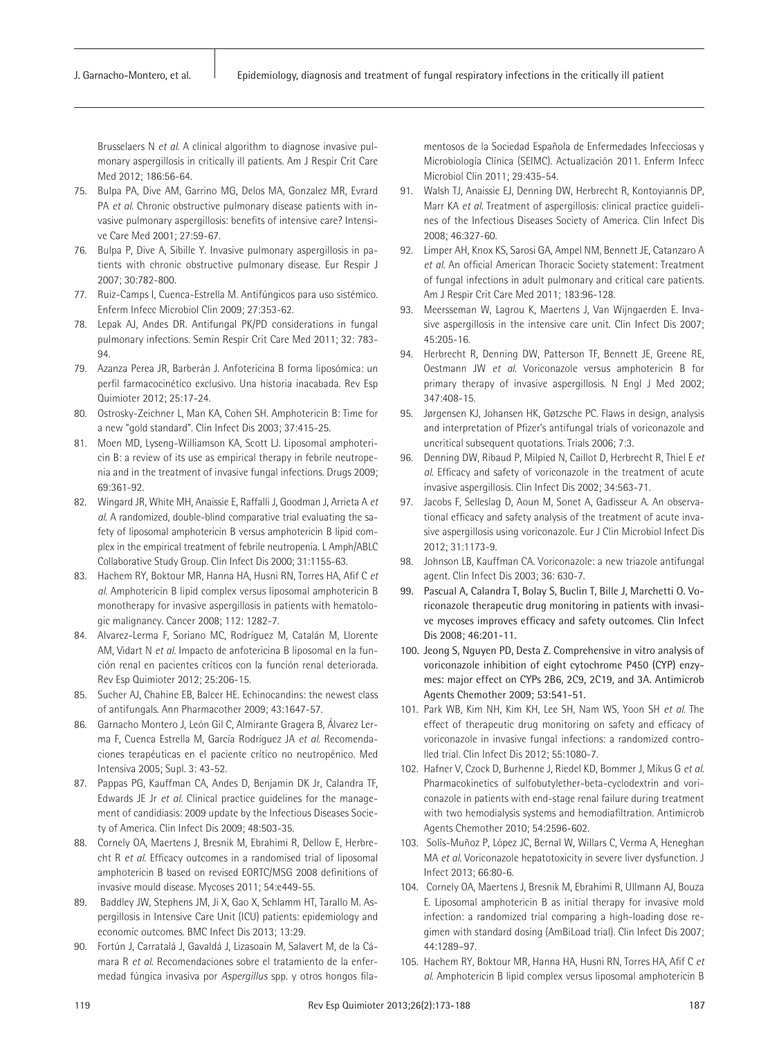Brusselaers N *et al*. A clinical algorithm to diagnose invasive pulmonary aspergillosis in critically ill patients. Am J Respir Crit Care Med 2012; 186:56-64.

- 75. Bulpa PA, Dive AM, Garrino MG, Delos MA, Gonzalez MR, Evrard PA *et al*. Chronic obstructive pulmonary disease patients with invasive pulmonary aspergillosis: benefits of intensive care? Intensive Care Med 2001; 27:59-67.
- 76. Bulpa P, Dive A, Sibille Y. Invasive pulmonary aspergillosis in patients with chronic obstructive pulmonary disease. Eur Respir J 2007; 30:782-800.
- 77. Ruiz-Camps I, Cuenca-Estrella M. Antifúngicos para uso sistémico. Enferm Infecc Microbiol Clin 2009; 27:353-62.
- 78. Lepak AJ, Andes DR. Antifungal PK/PD considerations in fungal pulmonary infections. Semin Respir Crit Care Med 2011; 32: 783- 94.
- 79. Azanza Perea JR, Barberán J. Anfotericina B forma liposómica: un perfil farmacocinético exclusivo. Una historia inacabada. Rev Esp Quimioter 2012; 25:17-24.
- 80. Ostrosky-Zeichner L, Man KA, Cohen SH. Amphotericin B: Time for a new "gold standard". Clin Infect Dis 2003; 37:415-25.
- 81. Moen MD, Lyseng-Williamson KA, Scott LJ. Liposomal amphotericin B: a review of its use as empirical therapy in febrile neutropenia and in the treatment of invasive fungal infections. Drugs 2009; 69:361-92.
- 82. Wingard JR, White MH, Anaissie E, Raffalli J, Goodman J, Arrieta A *et al*. A randomized, double-blind comparative trial evaluating the safety of liposomal amphotericin B versus amphotericin B lipid complex in the empirical treatment of febrile neutropenia. L Amph/ABLC Collaborative Study Group. Clin Infect Dis 2000; 31:1155-63.
- 83. Hachem RY, Boktour MR, Hanna HA, Husni RN, Torres HA, Afif C *et al*. Amphotericin B lipid complex versus liposomal amphotericin B monotherapy for invasive aspergillosis in patients with hematologic malignancy. Cancer 2008; 112: 1282-7.
- 84. Alvarez-Lerma F, Soriano MC, Rodríguez M, Catalán M, Llorente AM, Vidart N *et al*. Impacto de anfotericina B liposomal en la función renal en pacientes críticos con la función renal deteriorada. Rev Esp Quimioter 2012; 25:206-15.
- 85. Sucher AJ, Chahine EB, Balcer HE. Echinocandins: the newest class of antifungals. Ann Pharmacother 2009; 43:1647-57.
- 86. Garnacho Montero J, León Gil C, Almirante Gragera B, Álvarez Lerma F, Cuenca Estrella M, García Rodríguez JA *et al*. Recomendaciones terapéuticas en el paciente crítico no neutropénico. Med Intensiva 2005; Supl. 3: 43-52.
- 87. Pappas PG, Kauffman CA, Andes D, Benjamin DK Jr, Calandra TF, Edwards JE Jr *et al*. Clinical practice guidelines for the management of candidiasis: 2009 update by the Infectious Diseases Society of America. Clin Infect Dis 2009; 48:503-35.
- 88. Cornely OA, Maertens J, Bresnik M, Ebrahimi R, Dellow E, Herbrecht R *et al*. Efficacy outcomes in a randomised trial of liposomal amphotericin B based on revised EORTC/MSG 2008 definitions of invasive mould disease. Mycoses 2011; 54:e449-55.
- Baddley JW, Stephens JM, Ji X, Gao X, Schlamm HT, Tarallo M. Aspergillosis in Intensive Care Unit (ICU) patients: epidemiology and economic outcomes. BMC Infect Dis 2013; 13:29.
- 90. Fortún J, Carratalá J, Gavaldá J, Lizasoain M, Salavert M, de la Cámara R *et al*. Recomendaciones sobre el tratamiento de la enfermedad fúngica invasiva por *Aspergillus* spp. y otros hongos fila-

mentosos de la Sociedad Española de Enfermedades Infecciosas y Microbiología Clínica (SEIMC). Actualización 2011. Enferm Infecc Microbiol Clin 2011; 29:435-54.

- 91. Walsh TJ, Anaissie EJ, Denning DW, Herbrecht R, Kontoyiannis DP, Marr KA *et al*. Treatment of aspergillosis: clinical practice guidelines of the Infectious Diseases Society of America. Clin Infect Dis 2008; 46:327-60.
- 92. Limper AH, Knox KS, Sarosi GA, Ampel NM, Bennett JE, Catanzaro A *et al*. An official American Thoracic Society statement: Treatment of fungal infections in adult pulmonary and critical care patients. Am J Respir Crit Care Med 2011; 183:96-128.
- 93. Meersseman W, Lagrou K, Maertens J, Van Wijngaerden E. Invasive aspergillosis in the intensive care unit. Clin Infect Dis 2007; 45:205-16.
- 94. Herbrecht R, Denning DW, Patterson TF, Bennett JE, Greene RE, Oestmann JW *et al*. Voriconazole versus amphotericin B for primary therapy of invasive aspergillosis. N Engl J Med 2002; 347:408-15.
- 95. Jørgensen KJ, Johansen HK, Gøtzsche PC. Flaws in design, analysis and interpretation of Pfizer's antifungal trials of voriconazole and uncritical subsequent quotations. Trials 2006; 7:3.
- 96. Denning DW, Ribaud P, Milpied N, Caillot D, Herbrecht R, Thiel E *et al*. Efficacy and safety of voriconazole in the treatment of acute invasive aspergillosis. Clin Infect Dis 2002; 34:563-71.
- 97. Jacobs F, Selleslag D, Aoun M, Sonet A, Gadisseur A. An observational efficacy and safety analysis of the treatment of acute invasive aspergillosis using voriconazole. Eur J Clin Microbiol Infect Dis 2012; 31:1173-9.
- 98. Johnson LB, Kauffman CA. Voriconazole: a new triazole antifungal agent. Clin Infect Dis 2003; 36: 630-7.
- 99. Pascual A, Calandra T, Bolay S, Buclin T, Bille J, Marchetti O. Voriconazole therapeutic drug monitoring in patients with invasive mycoses improves efficacy and safety outcomes. Clin Infect Dis 2008; 46:201-11.
- 100. Jeong S, Nguyen PD, Desta Z. Comprehensive in vitro analysis of voriconazole inhibition of eight cytochrome P450 (CYP) enzymes: major effect on CYPs 2B6, 2C9, 2C19, and 3A. Antimicrob Agents Chemother 2009; 53:541-51.
- 101. Park WB, Kim NH, Kim KH, Lee SH, Nam WS, Yoon SH *et al*. The effect of therapeutic drug monitoring on safety and efficacy of voriconazole in invasive fungal infections: a randomized controlled trial. Clin Infect Dis 2012; 55:1080-7.
- 102. Hafner V, Czock D, Burhenne J, Riedel KD, Bommer J, Mikus G *et al.* Pharmacokinetics of sulfobutylether-beta-cyclodextrin and voriconazole in patients with end-stage renal failure during treatment with two hemodialysis systems and hemodiafiltration. Antimicrob Agents Chemother 2010; 54:2596-602.
- 103. Solís-Muñoz P, López JC, Bernal W, Willars C, Verma A, Heneghan MA *et al*. Voriconazole hepatotoxicity in severe liver dysfunction. J Infect 2013; 66:80-6.
- 104. Cornely OA, Maertens J, Bresnik M, Ebrahimi R, Ullmann AJ, Bouza E. Liposomal amphotericin B as initial therapy for invasive mold infection: a randomized trial comparing a high-loading dose regimen with standard dosing (AmBiLoad trial). Clin Infect Dis 2007; 44:1289–97.
- 105. Hachem RY, Boktour MR, Hanna HA, Husni RN, Torres HA, Afif C *et al*. Amphotericin B lipid complex versus liposomal amphotericin B